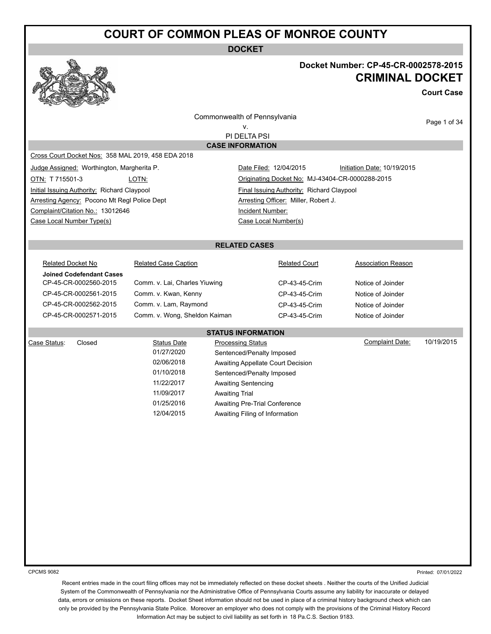**DOCKET**

#### **Docket Number: CP-45-CR-0002578-2015 CRIMINAL DOCKET**

**Court Case**

Commonwealth of Pennsylvania

Page 1 of 34

v. PI DELTA PSI

**CASE INFORMATION**

Cross Court Docket Nos: 358 MAL 2019, 458 EDA 2018

Initial Issuing Authority: Richard Claypool Final Issuing Authority: Richard Claypool Arresting Agency: Pocono Mt Regl Police Dept **Arresting Officer: Miller, Robert J.** Arresting Officer: Miller, Robert J. Complaint/Citation No.: 13012646 Incident Number: Case Local Number Type(s) Case Local Number(s)

Judge Assigned: Worthington, Margherita P. Date Filed: 12/04/2015 Initiation Date: 10/19/2015 OTN: T 715501-3 LOTN: Originating Docket No: MJ-43404-CR-0000288-2015

#### **RELATED CASES**

**STATUS INFORMATION**

Related Docket No **Related Case Caption Communist Court** Related Court **Association Reason Joined Codefendant Cases**

CP-45-CR-0002560-2015 Comm. v. Lai, Charles Yiuwing CP-43-45-Crim Notice of Joinder CP-45-CR-0002561-2015 Comm. v. Kwan, Kenny CP-43-45-Crim Notice of Joinder CP-45-CR-0002562-2015 Comm. v. Lam, Raymond CP-43-45-Crim Notice of Joinder CP-45-CR-0002571-2015 Comm. v. Wong, Sheldon Kaiman CP-43-45-Crim Notice of Joinder

01/27/2020 Sentenced/Penalty Imposed 02/06/2018 Awaiting Appellate Court Decision 01/10/2018 Sentenced/Penalty Imposed 11/22/2017 Awaiting Sentencing 11/09/2017 Awaiting Trial

01/25/2016 Awaiting Pre-Trial Conference 12/04/2015 Awaiting Filing of Information

Case Status: Closed Case Status Date Processing Status Complaint Date: 10/19/2015

CPCMS 9082

Printed: 07/01/2022

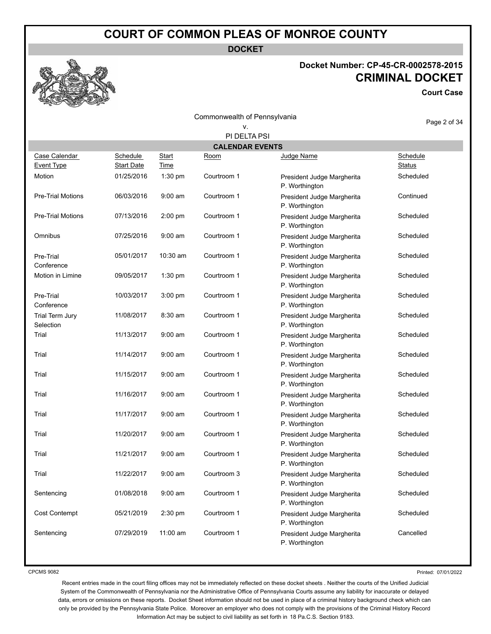**DOCKET**

# **Docket Number: CP-45-CR-0002578-2015 CRIMINAL DOCKET**

**Court Case**

Commonwealth of Pennsylvania v.

Page 2 of 34

|                              | PI DELTA PSI                  |                      |             |                                              |                                  |  |  |  |
|------------------------------|-------------------------------|----------------------|-------------|----------------------------------------------|----------------------------------|--|--|--|
|                              | <b>CALENDAR EVENTS</b>        |                      |             |                                              |                                  |  |  |  |
| Case Calendar<br>Event Type  | Schedule<br><b>Start Date</b> | <b>Start</b><br>Time | Room        | Judge Name                                   | <b>Schedule</b><br><b>Status</b> |  |  |  |
| Motion                       | 01/25/2016                    | 1:30 pm              | Courtroom 1 | President Judge Margherita<br>P. Worthington | Scheduled                        |  |  |  |
| <b>Pre-Trial Motions</b>     | 06/03/2016                    | $9:00$ am            | Courtroom 1 | President Judge Margherita<br>P. Worthington | Continued                        |  |  |  |
| <b>Pre-Trial Motions</b>     | 07/13/2016                    | $2:00$ pm            | Courtroom 1 | President Judge Margherita<br>P. Worthington | Scheduled                        |  |  |  |
| Omnibus                      | 07/25/2016                    | 9:00 am              | Courtroom 1 | President Judge Margherita<br>P. Worthington | Scheduled                        |  |  |  |
| Pre-Trial<br>Conference      | 05/01/2017                    | 10:30 am             | Courtroom 1 | President Judge Margherita<br>P. Worthington | Scheduled                        |  |  |  |
| Motion in Limine             | 09/05/2017                    | $1:30$ pm            | Courtroom 1 | President Judge Margherita<br>P. Worthington | Scheduled                        |  |  |  |
| Pre-Trial<br>Conference      | 10/03/2017                    | 3:00 pm              | Courtroom 1 | President Judge Margherita<br>P. Worthington | Scheduled                        |  |  |  |
| Trial Term Jury<br>Selection | 11/08/2017                    | 8:30 am              | Courtroom 1 | President Judge Margherita<br>P. Worthington | Scheduled                        |  |  |  |
| Trial                        | 11/13/2017                    | $9:00$ am            | Courtroom 1 | President Judge Margherita<br>P. Worthington | Scheduled                        |  |  |  |
| Trial                        | 11/14/2017                    | $9:00$ am            | Courtroom 1 | President Judge Margherita<br>P. Worthington | Scheduled                        |  |  |  |
| Trial                        | 11/15/2017                    | $9:00$ am            | Courtroom 1 | President Judge Margherita<br>P. Worthington | Scheduled                        |  |  |  |
| Trial                        | 11/16/2017                    | $9:00$ am            | Courtroom 1 | President Judge Margherita<br>P. Worthington | Scheduled                        |  |  |  |
| Trial                        | 11/17/2017                    | $9:00$ am            | Courtroom 1 | President Judge Margherita<br>P. Worthington | Scheduled                        |  |  |  |
| Trial                        | 11/20/2017                    | $9:00$ am            | Courtroom 1 | President Judge Margherita<br>P. Worthington | Scheduled                        |  |  |  |
| Trial                        | 11/21/2017                    | $9:00$ am            | Courtroom 1 | President Judge Margherita<br>P. Worthington | Scheduled                        |  |  |  |
| Trial                        | 11/22/2017                    | $9:00$ am            | Courtroom 3 | President Judge Margherita<br>P. Worthington | Scheduled                        |  |  |  |
| Sentencing                   | 01/08/2018                    | $9:00$ am            | Courtroom 1 | President Judge Margherita<br>P. Worthington | Scheduled                        |  |  |  |
| <b>Cost Contempt</b>         | 05/21/2019                    | $2:30$ pm            | Courtroom 1 | President Judge Margherita<br>P. Worthington | Scheduled                        |  |  |  |
| Sentencing                   | 07/29/2019                    | 11:00 am             | Courtroom 1 | President Judge Margherita<br>P. Worthington | Cancelled                        |  |  |  |

CPCMS 9082

Printed: 07/01/2022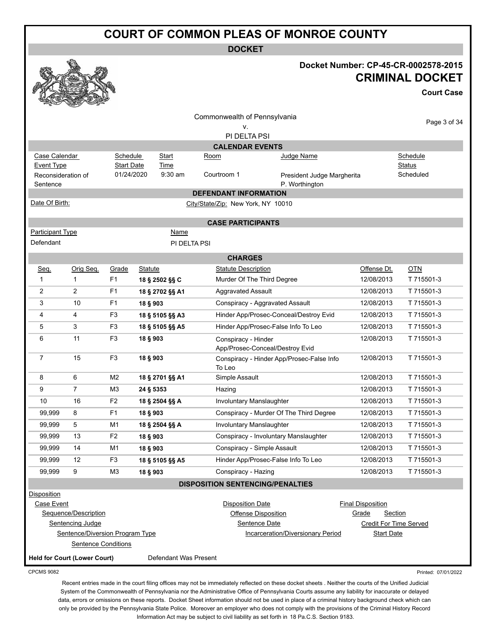**DOCKET**



#### **Docket Number: CP-45-CR-0002578-2015 CRIMINAL DOCKET**

**Court Case**

|                                |                                     |                   |                |                       | Commonwealth of Pennsylvania            |                                              |                          |              |
|--------------------------------|-------------------------------------|-------------------|----------------|-----------------------|-----------------------------------------|----------------------------------------------|--------------------------|--------------|
|                                |                                     |                   |                |                       | ۷.                                      |                                              |                          | Page 3 of 34 |
|                                |                                     |                   |                |                       | PI DELTA PSI                            |                                              |                          |              |
|                                |                                     |                   |                |                       | <b>CALENDAR EVENTS</b>                  |                                              |                          |              |
| Case Calendar                  |                                     | Schedule          |                | Start                 | Room                                    | Judge Name                                   |                          | Schedule     |
| <b>Event Type</b>              |                                     | <b>Start Date</b> |                | Time<br>9:30 am       |                                         |                                              |                          | Status       |
| Reconsideration of<br>Sentence |                                     | 01/24/2020        |                |                       | Courtroom 1                             | President Judge Margherita<br>P. Worthington |                          | Scheduled    |
|                                |                                     |                   |                |                       | <b>DEFENDANT INFORMATION</b>            |                                              |                          |              |
| Date Of Birth:                 |                                     |                   |                |                       | City/State/Zip: New York, NY 10010      |                                              |                          |              |
|                                |                                     |                   |                |                       |                                         |                                              |                          |              |
| <b>Participant Type</b>        |                                     |                   |                | Name                  | <b>CASE PARTICIPANTS</b>                |                                              |                          |              |
| Defendant                      |                                     |                   |                |                       | PI DELTA PSI                            |                                              |                          |              |
|                                |                                     |                   |                |                       |                                         |                                              |                          |              |
|                                |                                     |                   |                |                       | <b>CHARGES</b>                          |                                              |                          |              |
| Seq.                           | Orig Seq.                           | Grade             | <b>Statute</b> |                       | <b>Statute Description</b>              |                                              | Offense Dt.              | <u>OTN</u>   |
| 1                              | 1                                   | F1                |                | 18 § 2502 §§ C        | Murder Of The Third Degree              |                                              | 12/08/2013               | T 715501-3   |
| 2                              | $\overline{2}$                      | F <sub>1</sub>    |                | 18 § 2702 §§ A1       | <b>Aggravated Assault</b>               |                                              | 12/08/2013               | T 715501-3   |
| 3                              | 10                                  | F <sub>1</sub>    | 18 § 903       |                       |                                         | Conspiracy - Aggravated Assault              | 12/08/2013               | T 715501-3   |
| 4                              | 4                                   | F <sub>3</sub>    |                | 18 § 5105 §§ A3       |                                         | Hinder App/Prosec-Conceal/Destroy Evid       | 12/08/2013               | T 715501-3   |
| 5                              | 3                                   | F <sub>3</sub>    |                | 18 § 5105 §§ A5       |                                         | Hinder App/Prosec-False Info To Leo          | 12/08/2013               | T 715501-3   |
| 6                              | 11                                  | F <sub>3</sub>    | 18 § 903       |                       | Conspiracy - Hinder                     | App/Prosec-Conceal/Destroy Evid              | 12/08/2013               | T 715501-3   |
| 7                              | 15                                  | F <sub>3</sub>    | 18 § 903       |                       | To Leo                                  | Conspiracy - Hinder App/Prosec-False Info    | 12/08/2013               | T 715501-3   |
| 8                              | 6                                   | M <sub>2</sub>    |                | 18 § 2701 §§ A1       | Simple Assault                          |                                              | 12/08/2013               | T 715501-3   |
| 9                              | $\overline{7}$                      | M <sub>3</sub>    | 24 § 5353      |                       | Hazing                                  |                                              | 12/08/2013               | T 715501-3   |
| 10                             | 16                                  | F <sub>2</sub>    |                | 18 § 2504 §§ A        | Involuntary Manslaughter                |                                              | 12/08/2013               | T 715501-3   |
| 99,999                         | 8                                   | F <sub>1</sub>    | 18 § 903       |                       |                                         | Conspiracy - Murder Of The Third Degree      | 12/08/2013               | T 715501-3   |
| 99,999                         | 5                                   | M1                |                | 18 § 2504 §§ A        | <b>Involuntary Manslaughter</b>         |                                              | 12/08/2013               | T 715501-3   |
| 99,999                         | 13                                  | F <sub>2</sub>    | 18 § 903       |                       |                                         | Conspiracy - Involuntary Manslaughter        | 12/08/2013               | T 715501-3   |
| 99,999                         | 14                                  | M1                | 18 § 903       |                       | Conspiracy - Simple Assault             |                                              | 12/08/2013               | T 715501-3   |
| 99,999                         | 12                                  | F <sub>3</sub>    |                | 18 § 5105 §§ A5       |                                         | Hinder App/Prosec-False Info To Leo          | 12/08/2013               | T 715501-3   |
| 99,999                         | 9                                   | M3                | 18 § 903       |                       | Conspiracy - Hazing                     |                                              | 12/08/2013               | T 715501-3   |
|                                |                                     |                   |                |                       | <b>DISPOSITION SENTENCING/PENALTIES</b> |                                              |                          |              |
| <b>Disposition</b>             |                                     |                   |                |                       |                                         |                                              |                          |              |
| Case Event                     |                                     |                   |                |                       | <b>Disposition Date</b>                 |                                              | <b>Final Disposition</b> |              |
|                                | Sequence/Description                |                   |                |                       | <b>Offense Disposition</b>              |                                              | Grade<br>Section         |              |
|                                | Sentencing Judge                    |                   |                |                       |                                         | Sentence Date                                | Credit For Time Served   |              |
|                                | Sentence/Diversion Program Type     |                   |                |                       |                                         | <b>Incarceration/Diversionary Period</b>     | <b>Start Date</b>        |              |
|                                | <b>Sentence Conditions</b>          |                   |                |                       |                                         |                                              |                          |              |
|                                | <b>Held for Court (Lower Court)</b> |                   |                | Defendant Was Present |                                         |                                              |                          |              |

CPCMS 9082

Printed: 07/01/2022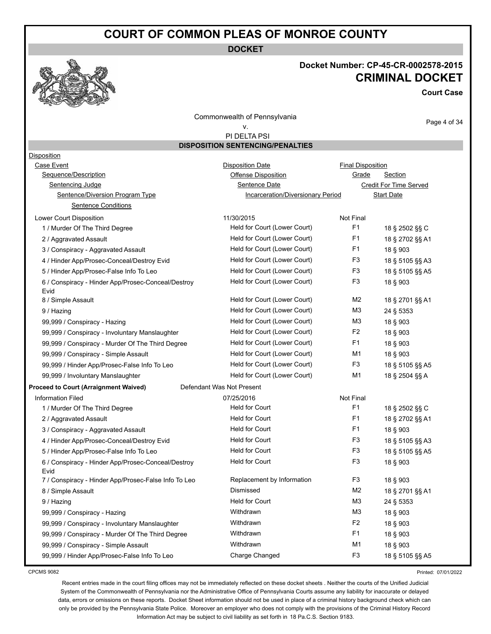**DOCKET**



#### **Docket Number: CP-45-CR-0002578-2015 CRIMINAL DOCKET**

**Court Case**

Commonwealth of Pennsylvania

#### v.

Page 4 of 34

 PI DELTA PSI **DISPOSITION SENTENCING/PENALTIES**

| <b>Disposition</b>                                         |                                   |                          |                        |
|------------------------------------------------------------|-----------------------------------|--------------------------|------------------------|
| <b>Case Event</b>                                          | <b>Disposition Date</b>           | <b>Final Disposition</b> |                        |
| Sequence/Description                                       | <b>Offense Disposition</b>        | Grade                    | Section                |
| Sentencing Judge                                           | Sentence Date                     |                          | Credit For Time Served |
| Sentence/Diversion Program Type                            | Incarceration/Diversionary Period |                          | <b>Start Date</b>      |
| <b>Sentence Conditions</b>                                 |                                   |                          |                        |
| Lower Court Disposition                                    | 11/30/2015                        | Not Final                |                        |
| 1 / Murder Of The Third Degree                             | Held for Court (Lower Court)      | F <sub>1</sub>           | 18 § 2502 §§ C         |
| 2 / Aggravated Assault                                     | Held for Court (Lower Court)      | F <sub>1</sub>           | 18 § 2702 §§ A1        |
| 3 / Conspiracy - Aggravated Assault                        | Held for Court (Lower Court)      | F1                       | 18 § 903               |
| 4 / Hinder App/Prosec-Conceal/Destroy Evid                 | Held for Court (Lower Court)      | F3                       | 18 § 5105 §§ A3        |
| 5 / Hinder App/Prosec-False Info To Leo                    | Held for Court (Lower Court)      | F3                       | 18 § 5105 §§ A5        |
| 6 / Conspiracy - Hinder App/Prosec-Conceal/Destroy<br>Evid | Held for Court (Lower Court)      | F3                       | 18 § 903               |
| 8 / Simple Assault                                         | Held for Court (Lower Court)      | M <sub>2</sub>           | 18 § 2701 §§ A1        |
| 9 / Hazing                                                 | Held for Court (Lower Court)      | M <sub>3</sub>           | 24 § 5353              |
| 99,999 / Conspiracy - Hazing                               | Held for Court (Lower Court)      | M <sub>3</sub>           | 18 § 903               |
| 99,999 / Conspiracy - Involuntary Manslaughter             | Held for Court (Lower Court)      | F <sub>2</sub>           | 18 § 903               |
| 99,999 / Conspiracy - Murder Of The Third Degree           | Held for Court (Lower Court)      | F1                       | 18 § 903               |
| 99,999 / Conspiracy - Simple Assault                       | Held for Court (Lower Court)      | M1                       | 18 § 903               |
| 99,999 / Hinder App/Prosec-False Info To Leo               | Held for Court (Lower Court)      | F3                       | 18 § 5105 §§ A5        |
| 99,999 / Involuntary Manslaughter                          | Held for Court (Lower Court)      | M1                       | 18 § 2504 §§ A         |
| <b>Proceed to Court (Arraignment Waived)</b>               | Defendant Was Not Present         |                          |                        |
| <b>Information Filed</b>                                   | 07/25/2016                        | Not Final                |                        |
| 1 / Murder Of The Third Degree                             | <b>Held for Court</b>             | F1                       | 18 § 2502 §§ C         |
| 2 / Aggravated Assault                                     | <b>Held for Court</b>             | F <sub>1</sub>           | 18 § 2702 §§ A1        |
| 3 / Conspiracy - Aggravated Assault                        | <b>Held for Court</b>             | F <sub>1</sub>           | 18 § 903               |
| 4 / Hinder App/Prosec-Conceal/Destroy Evid                 | <b>Held for Court</b>             | F <sub>3</sub>           | 18 § 5105 §§ A3        |
| 5 / Hinder App/Prosec-False Info To Leo                    | <b>Held for Court</b>             | F <sub>3</sub>           | 18 § 5105 §§ A5        |
| 6 / Conspiracy - Hinder App/Prosec-Conceal/Destroy<br>Evid | <b>Held for Court</b>             | F <sub>3</sub>           | 18 § 903               |
| 7 / Conspiracy - Hinder App/Prosec-False Info To Leo       | Replacement by Information        | F3                       | 18 § 903               |
| 8 / Simple Assault                                         | Dismissed                         | M <sub>2</sub>           | 18 § 2701 §§ A1        |
| 9 / Hazing                                                 | <b>Held for Court</b>             | M <sub>3</sub>           | 24 § 5353              |
| 99,999 / Conspiracy - Hazing                               | Withdrawn                         | M <sub>3</sub>           | 18 § 903               |
| 99,999 / Conspiracy - Involuntary Manslaughter             | Withdrawn                         | F <sub>2</sub>           | 18 § 903               |
| 99,999 / Conspiracy - Murder Of The Third Degree           | Withdrawn                         | F <sub>1</sub>           | 18 § 903               |
| 99,999 / Conspiracy - Simple Assault                       | Withdrawn                         | M1                       | 18 § 903               |
| 99,999 / Hinder App/Prosec-False Info To Leo               | Charge Changed                    | F <sub>3</sub>           | 18 § 5105 §§ A5        |

CPCMS 9082

Printed: 07/01/2022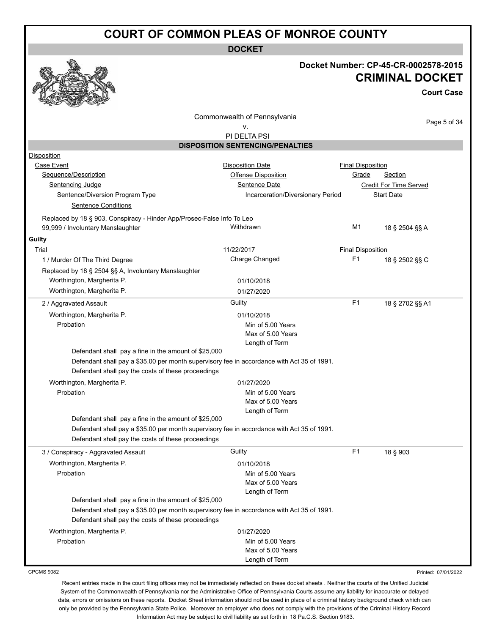**DOCKET**

#### **Docket Number: CP-45-CR-0002578-2015 CRIMINAL DOCKET**

**Court Case**

Commonwealth of Pennsylvania

Page 5 of 34

#### v. PI DELTA PSI

|                                                                        | <b>DISPOSITION SENTENCING/PENALTIES</b>                                                    |                          |                        |  |
|------------------------------------------------------------------------|--------------------------------------------------------------------------------------------|--------------------------|------------------------|--|
| Disposition                                                            |                                                                                            |                          |                        |  |
| <b>Case Event</b>                                                      | <b>Disposition Date</b>                                                                    | <b>Final Disposition</b> |                        |  |
| Sequence/Description                                                   | Offense Disposition                                                                        | Grade                    | Section                |  |
| Sentencing Judge                                                       | Sentence Date                                                                              |                          | Credit For Time Served |  |
| Sentence/Diversion Program Type                                        | Incarceration/Diversionary Period                                                          |                          | <b>Start Date</b>      |  |
| <b>Sentence Conditions</b>                                             |                                                                                            |                          |                        |  |
| Replaced by 18 § 903, Conspiracy - Hinder App/Prosec-False Info To Leo |                                                                                            |                          |                        |  |
| 99,999 / Involuntary Manslaughter                                      | Withdrawn                                                                                  | M1                       | 18 § 2504 §§ A         |  |
| Guilty                                                                 |                                                                                            |                          |                        |  |
| Trial                                                                  | 11/22/2017                                                                                 | <b>Final Disposition</b> |                        |  |
| 1 / Murder Of The Third Degree                                         | Charge Changed                                                                             | F <sub>1</sub>           | 18 § 2502 §§ C         |  |
| Replaced by 18 § 2504 §§ A, Involuntary Manslaughter                   |                                                                                            |                          |                        |  |
| Worthington, Margherita P.                                             | 01/10/2018                                                                                 |                          |                        |  |
| Worthington, Margherita P.                                             | 01/27/2020                                                                                 |                          |                        |  |
| 2 / Aggravated Assault                                                 | Guilty                                                                                     | F <sub>1</sub>           | 18 § 2702 §§ A1        |  |
| Worthington, Margherita P.                                             | 01/10/2018                                                                                 |                          |                        |  |
| Probation                                                              | Min of 5.00 Years                                                                          |                          |                        |  |
|                                                                        | Max of 5.00 Years                                                                          |                          |                        |  |
|                                                                        | Length of Term                                                                             |                          |                        |  |
| Defendant shall pay a fine in the amount of \$25,000                   |                                                                                            |                          |                        |  |
|                                                                        | Defendant shall pay a \$35.00 per month supervisory fee in accordance with Act 35 of 1991. |                          |                        |  |
| Defendant shall pay the costs of these proceedings                     |                                                                                            |                          |                        |  |
| Worthington, Margherita P.                                             | 01/27/2020                                                                                 |                          |                        |  |
| Probation                                                              | Min of 5.00 Years                                                                          |                          |                        |  |
|                                                                        | Max of 5.00 Years                                                                          |                          |                        |  |
| Defendant shall pay a fine in the amount of \$25,000                   | Length of Term                                                                             |                          |                        |  |
|                                                                        | Defendant shall pay a \$35.00 per month supervisory fee in accordance with Act 35 of 1991. |                          |                        |  |
| Defendant shall pay the costs of these proceedings                     |                                                                                            |                          |                        |  |
| 3 / Conspiracy - Aggravated Assault                                    | Guilty                                                                                     | F <sub>1</sub>           | 18 § 903               |  |
| Worthington, Margherita P.                                             | 01/10/2018                                                                                 |                          |                        |  |
| Probation                                                              | Min of 5.00 Years                                                                          |                          |                        |  |
|                                                                        | Max of 5.00 Years                                                                          |                          |                        |  |
|                                                                        | Length of Term                                                                             |                          |                        |  |
| Defendant shall pay a fine in the amount of \$25,000                   |                                                                                            |                          |                        |  |
|                                                                        | Defendant shall pay a \$35.00 per month supervisory fee in accordance with Act 35 of 1991. |                          |                        |  |
| Defendant shall pay the costs of these proceedings                     |                                                                                            |                          |                        |  |
| Worthington, Margherita P.                                             | 01/27/2020                                                                                 |                          |                        |  |
| Probation                                                              | Min of 5.00 Years                                                                          |                          |                        |  |
|                                                                        | Max of 5.00 Years                                                                          |                          |                        |  |
|                                                                        | Length of Term                                                                             |                          |                        |  |

CPCMS 9082

Printed: 07/01/2022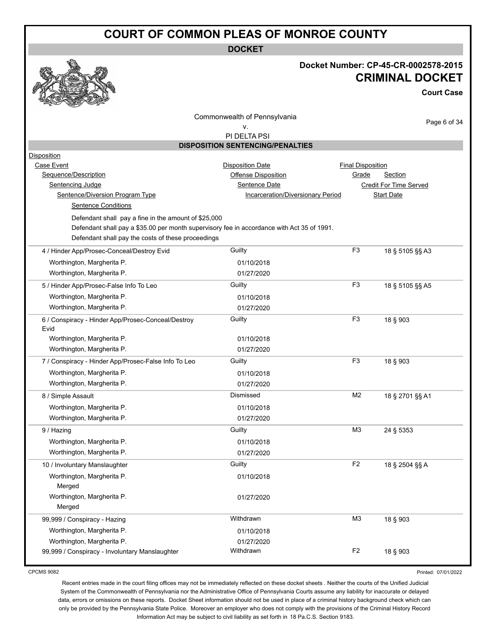**DOCKET**



#### **Docket Number: CP-45-CR-0002578-2015 CRIMINAL DOCKET**

**Court Case**

Commonwealth of Pennsylvania

Page 6 of 34

v. PI DELTA PSI

|                                                                                            | <b>DISPOSITION SENTENCING/PENALTIES</b>  |                          |                               |
|--------------------------------------------------------------------------------------------|------------------------------------------|--------------------------|-------------------------------|
| Disposition                                                                                |                                          |                          |                               |
| Case Event                                                                                 | <b>Disposition Date</b>                  | <b>Final Disposition</b> |                               |
| Sequence/Description                                                                       | Offense Disposition                      | Grade                    | Section                       |
| Sentencing Judge                                                                           | Sentence Date                            |                          | <b>Credit For Time Served</b> |
| Sentence/Diversion Program Type                                                            | <b>Incarceration/Diversionary Period</b> |                          | <b>Start Date</b>             |
| <b>Sentence Conditions</b>                                                                 |                                          |                          |                               |
| Defendant shall pay a fine in the amount of \$25,000                                       |                                          |                          |                               |
| Defendant shall pay a \$35.00 per month supervisory fee in accordance with Act 35 of 1991. |                                          |                          |                               |
| Defendant shall pay the costs of these proceedings                                         |                                          |                          |                               |
| 4 / Hinder App/Prosec-Conceal/Destroy Evid                                                 | Guilty                                   | F <sub>3</sub>           | 18 § 5105 §§ A3               |
| Worthington, Margherita P.                                                                 | 01/10/2018                               |                          |                               |
| Worthington, Margherita P.                                                                 | 01/27/2020                               |                          |                               |
| 5 / Hinder App/Prosec-False Info To Leo                                                    | Guilty                                   | F <sub>3</sub>           | 18 § 5105 §§ A5               |
| Worthington, Margherita P.                                                                 | 01/10/2018                               |                          |                               |
| Worthington, Margherita P.                                                                 | 01/27/2020                               |                          |                               |
|                                                                                            |                                          | F <sub>3</sub>           |                               |
| 6 / Conspiracy - Hinder App/Prosec-Conceal/Destroy<br>Evid                                 | Guilty                                   |                          | 18 § 903                      |
| Worthington, Margherita P.                                                                 | 01/10/2018                               |                          |                               |
| Worthington, Margherita P.                                                                 | 01/27/2020                               |                          |                               |
| 7 / Conspiracy - Hinder App/Prosec-False Info To Leo                                       | Guilty                                   | F <sub>3</sub>           | 18 § 903                      |
| Worthington, Margherita P.                                                                 | 01/10/2018                               |                          |                               |
| Worthington, Margherita P.                                                                 | 01/27/2020                               |                          |                               |
| 8 / Simple Assault                                                                         | Dismissed                                | M <sub>2</sub>           | 18 § 2701 §§ A1               |
| Worthington, Margherita P.                                                                 | 01/10/2018                               |                          |                               |
| Worthington, Margherita P.                                                                 | 01/27/2020                               |                          |                               |
| 9 / Hazing                                                                                 | Guilty                                   | M <sub>3</sub>           | 24 § 5353                     |
| Worthington, Margherita P.                                                                 | 01/10/2018                               |                          |                               |
| Worthington, Margherita P.                                                                 | 01/27/2020                               |                          |                               |
| 10 / Involuntary Manslaughter                                                              | Guilty                                   | F <sub>2</sub>           | 18 § 2504 §§ A                |
| Worthington, Margherita P.                                                                 | 01/10/2018                               |                          |                               |
| Merged                                                                                     |                                          |                          |                               |
| Worthington, Margherita P.                                                                 | 01/27/2020                               |                          |                               |
| Merged                                                                                     |                                          |                          |                               |
| 99,999 / Conspiracy - Hazing                                                               | Withdrawn                                | M <sub>3</sub>           | 18 § 903                      |
| Worthington, Margherita P.                                                                 | 01/10/2018                               |                          |                               |
| Worthington, Margherita P.                                                                 | 01/27/2020                               |                          |                               |
| 99,999 / Conspiracy - Involuntary Manslaughter                                             | Withdrawn                                | F <sub>2</sub>           | 18 § 903                      |

CPCMS 9082

Printed: 07/01/2022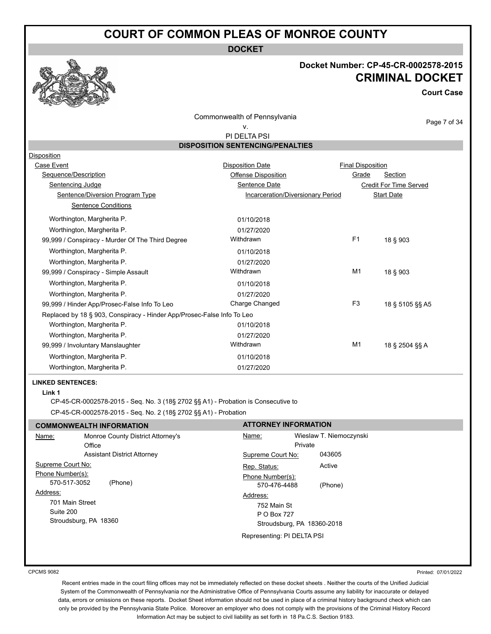**DOCKET**



#### **Docket Number: CP-45-CR-0002578-2015 CRIMINAL DOCKET**

**Court Case**

Page 7 of 34

Commonwealth of Pennsylvania

# v.

 PI DELTA PSI **DISPOSITION SENTENCING/PENALTIES**

| <b>Disposition</b>                                                     |                                   |                          |                        |
|------------------------------------------------------------------------|-----------------------------------|--------------------------|------------------------|
| Case Event                                                             | <b>Disposition Date</b>           | <b>Final Disposition</b> |                        |
| Sequence/Description                                                   | Offense Disposition               | Grade                    | Section                |
| Sentencing Judge                                                       | Sentence Date                     |                          | Credit For Time Served |
| Sentence/Diversion Program Type                                        | Incarceration/Diversionary Period |                          | <b>Start Date</b>      |
| Sentence Conditions                                                    |                                   |                          |                        |
| Worthington, Margherita P.                                             | 01/10/2018                        |                          |                        |
| Worthington, Margherita P.                                             | 01/27/2020                        |                          |                        |
| 99,999 / Conspiracy - Murder Of The Third Degree                       | Withdrawn                         | F1                       | 18 § 903               |
| Worthington, Margherita P.                                             | 01/10/2018                        |                          |                        |
| Worthington, Margherita P.                                             | 01/27/2020                        |                          |                        |
| 99,999 / Conspiracy - Simple Assault                                   | Withdrawn                         | M <sub>1</sub>           | 18 § 903               |
| Worthington, Margherita P.                                             | 01/10/2018                        |                          |                        |
| Worthington, Margherita P.                                             | 01/27/2020                        |                          |                        |
| 99,999 / Hinder App/Prosec-False Info To Leo                           | Charge Changed                    | F <sub>3</sub>           | 18 § 5105 §§ A5        |
| Replaced by 18 § 903, Conspiracy - Hinder App/Prosec-False Info To Leo |                                   |                          |                        |
| Worthington, Margherita P.                                             | 01/10/2018                        |                          |                        |
| Worthington, Margherita P.                                             | 01/27/2020                        |                          |                        |
| 99,999 / Involuntary Manslaughter                                      | Withdrawn                         | M <sub>1</sub>           | 18 § 2504 §§ A         |
| Worthington, Margherita P.                                             | 01/10/2018                        |                          |                        |
| Worthington, Margherita P.                                             | 01/27/2020                        |                          |                        |
|                                                                        |                                   |                          |                        |

#### **LINKED SENTENCES:**

**Link 1**

CP-45-CR-0002578-2015 - Seq. No. 3 (18§ 2702 §§ A1) - Probation is Consecutive to CP-45-CR-0002578-2015 - Seq. No. 2 (18§ 2702 §§ A1) - Probation

|                   | <b>COMMONWEALTH INFORMATION</b>    | <b>ATTORNEY INFORMATION</b> |                            |
|-------------------|------------------------------------|-----------------------------|----------------------------|
| Name:             | Monroe County District Attorney's  | Name:                       | Wieslaw T. Niemoczynski    |
|                   | Office                             |                             | Private                    |
|                   | <b>Assistant District Attorney</b> | Supreme Court No:           | 043605                     |
| Supreme Court No: |                                    | Rep. Status:                | Active                     |
| Phone Number(s):  |                                    | Phone Number(s):            |                            |
| 570-517-3052      | (Phone)                            | 570-476-4488                | (Phone)                    |
| Address:          |                                    | Address:                    |                            |
| 701 Main Street   |                                    | 752 Main St                 |                            |
| Suite 200         |                                    | P O Box 727                 |                            |
|                   | Stroudsburg, PA 18360              |                             | Stroudsburg, PA 18360-2018 |
|                   |                                    | Representing: PI DELTA PSI  |                            |

CPCMS 9082

Printed: 07/01/2022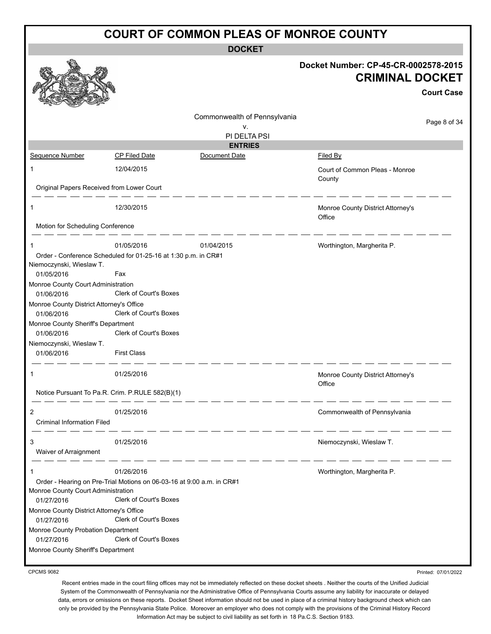**DOCKET**

|                                                  |                                                                                                        |                              | Docket Number: CP-45-CR-0002578-2015<br><b>CRIMINAL DOCKET</b> | <b>Court Case</b> |
|--------------------------------------------------|--------------------------------------------------------------------------------------------------------|------------------------------|----------------------------------------------------------------|-------------------|
|                                                  |                                                                                                        | Commonwealth of Pennsylvania |                                                                | Page 8 of 34      |
|                                                  |                                                                                                        | ۷.<br>PI DELTA PSI           |                                                                |                   |
|                                                  |                                                                                                        | <b>ENTRIES</b>               |                                                                |                   |
| Sequence Number                                  | <b>CP Filed Date</b>                                                                                   | Document Date                | <b>Filed By</b>                                                |                   |
| 1                                                | 12/04/2015                                                                                             |                              | Court of Common Pleas - Monroe<br>County                       |                   |
| Original Papers Received from Lower Court        |                                                                                                        |                              |                                                                |                   |
| 1<br>Motion for Scheduling Conference            | 12/30/2015                                                                                             |                              | Monroe County District Attorney's<br>Office                    |                   |
|                                                  |                                                                                                        |                              |                                                                |                   |
| 1                                                | 01/05/2016                                                                                             | 01/04/2015                   | Worthington, Margherita P.                                     |                   |
| Niemoczynski, Wieslaw T.                         | Order - Conference Scheduled for 01-25-16 at 1:30 p.m. in CR#1                                         |                              |                                                                |                   |
| 01/05/2016                                       | Fax                                                                                                    |                              |                                                                |                   |
| Monroe County Court Administration               |                                                                                                        |                              |                                                                |                   |
| 01/06/2016                                       | Clerk of Court's Boxes                                                                                 |                              |                                                                |                   |
| Monroe County District Attorney's Office         |                                                                                                        |                              |                                                                |                   |
| 01/06/2016                                       | Clerk of Court's Boxes                                                                                 |                              |                                                                |                   |
| Monroe County Sheriff's Department               | Clerk of Court's Boxes                                                                                 |                              |                                                                |                   |
| 01/06/2016                                       |                                                                                                        |                              |                                                                |                   |
| Niemoczynski, Wieslaw T.<br>01/06/2016           | <b>First Class</b>                                                                                     |                              |                                                                |                   |
|                                                  | 01/25/2016                                                                                             |                              | Monroe County District Attorney's<br>Office                    |                   |
| Notice Pursuant To Pa.R. Crim. P.RULE 582(B)(1)  |                                                                                                        |                              |                                                                |                   |
|                                                  | 01/25/2016                                                                                             |                              | Commonwealth of Pennsylvania                                   |                   |
| <b>Criminal Information Filed</b>                |                                                                                                        |                              |                                                                |                   |
| 3                                                | 01/25/2016                                                                                             |                              | Niemoczynski, Wieslaw T.                                       |                   |
| Waiver of Arraignment                            |                                                                                                        |                              |                                                                |                   |
| 1                                                | 01/26/2016                                                                                             |                              | Worthington, Margherita P.                                     |                   |
| Monroe County Court Administration<br>01/27/2016 | Order - Hearing on Pre-Trial Motions on 06-03-16 at 9:00 a.m. in CR#1<br><b>Clerk of Court's Boxes</b> |                              |                                                                |                   |
| Monroe County District Attorney's Office         |                                                                                                        |                              |                                                                |                   |
| 01/27/2016                                       | Clerk of Court's Boxes                                                                                 |                              |                                                                |                   |
| Monroe County Probation Department               |                                                                                                        |                              |                                                                |                   |
| 01/27/2016                                       | Clerk of Court's Boxes                                                                                 |                              |                                                                |                   |
| Monroe County Sheriff's Department               |                                                                                                        |                              |                                                                |                   |

CPCMS 9082

Recent entries made in the court filing offices may not be immediately reflected on these docket sheets . Neither the courts of the Unified Judicial System of the Commonwealth of Pennsylvania nor the Administrative Office of Pennsylvania Courts assume any liability for inaccurate or delayed data, errors or omissions on these reports. Docket Sheet information should not be used in place of a criminal history background check which can only be provided by the Pennsylvania State Police. Moreover an employer who does not comply with the provisions of the Criminal History Record Information Act may be subject to civil liability as set forth in 18 Pa.C.S. Section 9183.

Printed: 07/01/2022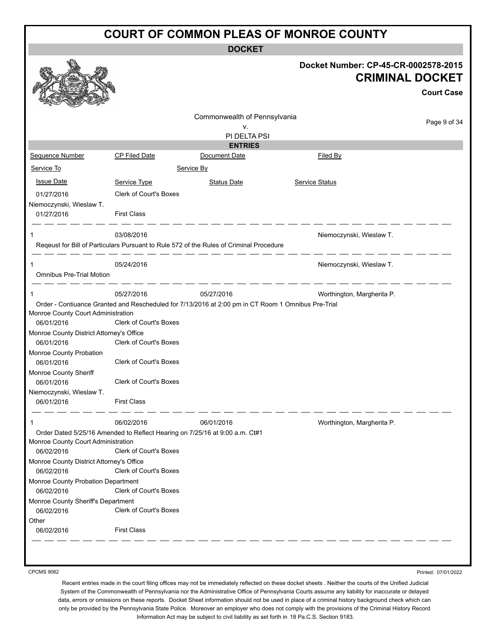|                                              | <b>DOCKET</b>                                                                     |                                                                                     |
|----------------------------------------------|-----------------------------------------------------------------------------------|-------------------------------------------------------------------------------------|
|                                              |                                                                                   | Docket Number: CP-45-CR-0002578-2015<br><b>CRIMINAL DOCKET</b><br><b>Court Case</b> |
|                                              | Commonwealth of Pennsylvania<br>v.<br>PI DELTA PSI                                | Page 9 of 34                                                                        |
|                                              | <b>ENTRIES</b>                                                                    |                                                                                     |
| ed Date                                      | Document Date                                                                     | Filed By                                                                            |
|                                              | Service By                                                                        |                                                                                     |
| e Type                                       | <b>Status Date</b>                                                                | Service Status                                                                      |
| of Court's Boxes                             |                                                                                   |                                                                                     |
| lass                                         |                                                                                   |                                                                                     |
| 2016                                         | suant to Rule 572 of the Rules of Criminal Procedure                              | Niemoczynski, Wieslaw T.                                                            |
| 2016                                         |                                                                                   | Niemoczynski, Wieslaw T.                                                            |
| 2016                                         | 05/27/2016<br>Rescheduled for 7/13/2016 at 2:00 pm in CT Room 1 Omnibus Pre-Trial | Worthington, Margherita P.                                                          |
| of Court's Boxes<br>fice<br>of Court's Boxes |                                                                                   |                                                                                     |
| of Court's Boxes                             |                                                                                   |                                                                                     |



|                                          |                                                                             | PI DELTA PSI                                                                                       |                            |
|------------------------------------------|-----------------------------------------------------------------------------|----------------------------------------------------------------------------------------------------|----------------------------|
|                                          |                                                                             | <b>ENTRIES</b>                                                                                     |                            |
| <b>Sequence Number</b>                   | <b>CP Filed Date</b>                                                        | Document Date                                                                                      | Filed By                   |
| Service To                               |                                                                             | Service By                                                                                         |                            |
| <b>Issue Date</b>                        | Service Type                                                                | <b>Status Date</b>                                                                                 | Service Status             |
| 01/27/2016                               | Clerk of Court's Boxes                                                      |                                                                                                    |                            |
| Niemoczynski, Wieslaw T.                 |                                                                             |                                                                                                    |                            |
| 01/27/2016                               | <b>First Class</b>                                                          |                                                                                                    |                            |
|                                          | 03/08/2016                                                                  |                                                                                                    | Niemoczynski, Wieslaw T.   |
|                                          |                                                                             | Reqeust for Bill of Particulars Pursuant to Rule 572 of the Rules of Criminal Procedure            |                            |
|                                          | 05/24/2016                                                                  |                                                                                                    | Niemoczynski, Wieslaw T.   |
| <b>Omnibus Pre-Trial Motion</b>          |                                                                             |                                                                                                    |                            |
| 1                                        | 05/27/2016                                                                  | 05/27/2016                                                                                         | Worthington, Margherita P. |
|                                          |                                                                             | Order - Contiuance Granted and Rescheduled for 7/13/2016 at 2:00 pm in CT Room 1 Omnibus Pre-Trial |                            |
| Monroe County Court Administration       |                                                                             |                                                                                                    |                            |
| 06/01/2016                               | <b>Clerk of Court's Boxes</b>                                               |                                                                                                    |                            |
| Monroe County District Attorney's Office |                                                                             |                                                                                                    |                            |
| 06/01/2016                               | <b>Clerk of Court's Boxes</b>                                               |                                                                                                    |                            |
| Monroe County Probation                  |                                                                             |                                                                                                    |                            |
| 06/01/2016                               | Clerk of Court's Boxes                                                      |                                                                                                    |                            |
| Monroe County Sheriff                    |                                                                             |                                                                                                    |                            |
| 06/01/2016                               | Clerk of Court's Boxes                                                      |                                                                                                    |                            |
| Niemoczynski, Wieslaw T.                 |                                                                             |                                                                                                    |                            |
| 06/01/2016                               | <b>First Class</b>                                                          |                                                                                                    |                            |
| 1                                        | 06/02/2016                                                                  | 06/01/2016                                                                                         | Worthington, Margherita P. |
|                                          | Order Dated 5/25/16 Amended to Reflect Hearing on 7/25/16 at 9:00 a.m. Ct#1 |                                                                                                    |                            |
| Monroe County Court Administration       |                                                                             |                                                                                                    |                            |
| 06/02/2016                               | Clerk of Court's Boxes                                                      |                                                                                                    |                            |
| Monroe County District Attorney's Office |                                                                             |                                                                                                    |                            |
| 06/02/2016                               | Clerk of Court's Boxes                                                      |                                                                                                    |                            |
| Monroe County Probation Department       |                                                                             |                                                                                                    |                            |
| 06/02/2016                               | Clerk of Court's Boxes                                                      |                                                                                                    |                            |
| Monroe County Sheriff's Department       |                                                                             |                                                                                                    |                            |
| 06/02/2016                               | Clerk of Court's Boxes                                                      |                                                                                                    |                            |
| Other                                    |                                                                             |                                                                                                    |                            |
| 06/02/2016                               | <b>First Class</b>                                                          |                                                                                                    |                            |

CPCMS 9082

Printed: 07/01/2022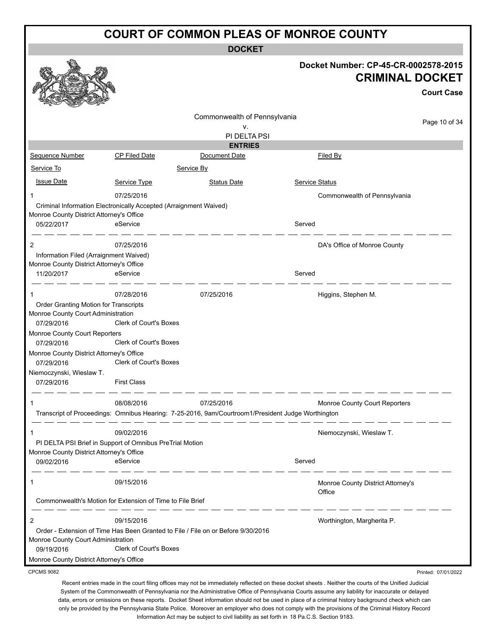**DOCKET**

|                                                  |                                                                   |                                                                                                   |                | Docket Number: CP-45-CR-0002578-2015<br><b>CRIMINAL DOCKET</b> |                     |
|--------------------------------------------------|-------------------------------------------------------------------|---------------------------------------------------------------------------------------------------|----------------|----------------------------------------------------------------|---------------------|
|                                                  |                                                                   |                                                                                                   |                |                                                                | <b>Court Case</b>   |
|                                                  |                                                                   | Commonwealth of Pennsylvania                                                                      |                |                                                                |                     |
|                                                  |                                                                   | ۷.                                                                                                |                |                                                                | Page 10 of 34       |
|                                                  |                                                                   | PI DELTA PSI                                                                                      |                |                                                                |                     |
|                                                  |                                                                   | <b>ENTRIES</b>                                                                                    |                |                                                                |                     |
| Sequence Number                                  | <b>CP Filed Date</b>                                              | Document Date                                                                                     |                | <b>Filed By</b>                                                |                     |
| Service To                                       |                                                                   | Service By                                                                                        |                |                                                                |                     |
| <b>Issue Date</b>                                | Service Type                                                      | <b>Status Date</b>                                                                                | Service Status |                                                                |                     |
|                                                  | 07/25/2016                                                        |                                                                                                   |                | Commonwealth of Pennsylvania                                   |                     |
|                                                  | Criminal Information Electronically Accepted (Arraignment Waived) |                                                                                                   |                |                                                                |                     |
| Monroe County District Attorney's Office         |                                                                   |                                                                                                   |                |                                                                |                     |
| 05/22/2017                                       | eService                                                          |                                                                                                   | Served         |                                                                |                     |
| 2                                                | 07/25/2016                                                        |                                                                                                   |                | DA's Office of Monroe County                                   |                     |
| Information Filed (Arraignment Waived)           |                                                                   |                                                                                                   |                |                                                                |                     |
| Monroe County District Attorney's Office         |                                                                   |                                                                                                   |                |                                                                |                     |
| 11/20/2017                                       | eService                                                          |                                                                                                   | Served         |                                                                |                     |
|                                                  |                                                                   |                                                                                                   |                |                                                                |                     |
| 1                                                | 07/28/2016                                                        | 07/25/2016                                                                                        |                | Higgins, Stephen M.                                            |                     |
| Order Granting Motion for Transcripts            |                                                                   |                                                                                                   |                |                                                                |                     |
| Monroe County Court Administration<br>07/29/2016 | Clerk of Court's Boxes                                            |                                                                                                   |                |                                                                |                     |
| Monroe County Court Reporters                    |                                                                   |                                                                                                   |                |                                                                |                     |
| 07/29/2016                                       | Clerk of Court's Boxes                                            |                                                                                                   |                |                                                                |                     |
| Monroe County District Attorney's Office         |                                                                   |                                                                                                   |                |                                                                |                     |
| 07/29/2016                                       | Clerk of Court's Boxes                                            |                                                                                                   |                |                                                                |                     |
| Niemoczynski, Wieslaw T.                         |                                                                   |                                                                                                   |                |                                                                |                     |
| 07/29/2016                                       | <b>First Class</b>                                                |                                                                                                   |                |                                                                |                     |
|                                                  | 08/08/2016                                                        | 07/25/2016                                                                                        |                | Monroe County Court Reporters                                  |                     |
|                                                  |                                                                   | Transcript of Proceedings: Omnibus Hearing: 7-25-2016, 9am/Courtroom1/President Judge Worthington |                |                                                                |                     |
|                                                  |                                                                   |                                                                                                   |                |                                                                |                     |
| 1                                                | 09/02/2016                                                        |                                                                                                   |                | Niemoczynski, Wieslaw T.                                       |                     |
|                                                  | PI DELTA PSI Brief in Support of Omnibus PreTrial Motion          |                                                                                                   |                |                                                                |                     |
| Monroe County District Attorney's Office         |                                                                   |                                                                                                   |                |                                                                |                     |
| 09/02/2016                                       | eService                                                          |                                                                                                   | Served         |                                                                |                     |
| 1                                                | 09/15/2016                                                        |                                                                                                   |                | Monroe County District Attorney's                              |                     |
|                                                  |                                                                   |                                                                                                   |                | Office                                                         |                     |
|                                                  | Commonwealth's Motion for Extension of Time to File Brief         |                                                                                                   |                |                                                                |                     |
| 2                                                | 09/15/2016                                                        |                                                                                                   |                | Worthington, Margherita P.                                     |                     |
|                                                  |                                                                   | Order - Extension of Time Has Been Granted to File / File on or Before 9/30/2016                  |                |                                                                |                     |
| Monroe County Court Administration               |                                                                   |                                                                                                   |                |                                                                |                     |
| 09/19/2016                                       | <b>Clerk of Court's Boxes</b>                                     |                                                                                                   |                |                                                                |                     |
| Monroe County District Attorney's Office         |                                                                   |                                                                                                   |                |                                                                |                     |
| <b>CPCMS 9082</b>                                |                                                                   |                                                                                                   |                |                                                                | Printed: 07/01/2022 |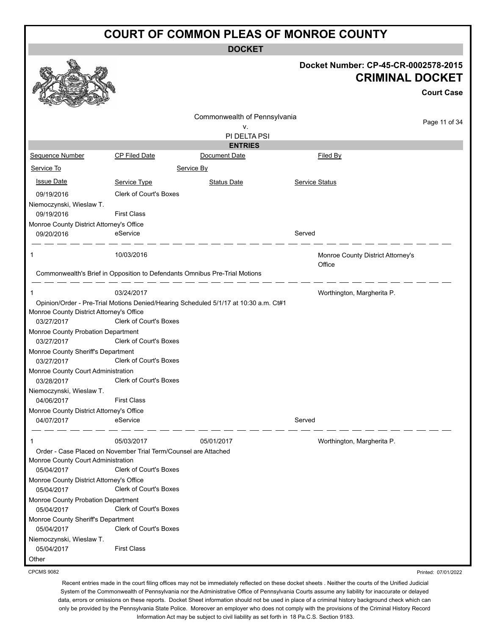|                                                        |                                                                                                  | <b>DOCKET</b>                                                                        |        |                                                                |                   |
|--------------------------------------------------------|--------------------------------------------------------------------------------------------------|--------------------------------------------------------------------------------------|--------|----------------------------------------------------------------|-------------------|
|                                                        |                                                                                                  |                                                                                      |        | Docket Number: CP-45-CR-0002578-2015<br><b>CRIMINAL DOCKET</b> | <b>Court Case</b> |
|                                                        |                                                                                                  | Commonwealth of Pennsylvania                                                         |        |                                                                |                   |
|                                                        |                                                                                                  | ۷.                                                                                   |        |                                                                | Page 11 of 34     |
|                                                        |                                                                                                  | PI DELTA PSI                                                                         |        |                                                                |                   |
| Sequence Number                                        | <b>CP Filed Date</b>                                                                             | <b>ENTRIES</b><br>Document Date                                                      |        | Filed By                                                       |                   |
| Service To                                             |                                                                                                  | Service By                                                                           |        |                                                                |                   |
|                                                        |                                                                                                  |                                                                                      |        |                                                                |                   |
| <b>Issue Date</b>                                      | Service Type                                                                                     | <b>Status Date</b>                                                                   |        | Service Status                                                 |                   |
| 09/19/2016                                             | <b>Clerk of Court's Boxes</b>                                                                    |                                                                                      |        |                                                                |                   |
| Niemoczynski, Wieslaw T.<br>09/19/2016                 | <b>First Class</b>                                                                               |                                                                                      |        |                                                                |                   |
| Monroe County District Attorney's Office               |                                                                                                  |                                                                                      |        |                                                                |                   |
| 09/20/2016                                             | eService                                                                                         |                                                                                      | Served |                                                                |                   |
| 1                                                      | 10/03/2016                                                                                       |                                                                                      |        | Monroe County District Attorney's<br>Office                    |                   |
|                                                        | Commonwealth's Brief in Opposition to Defendants Omnibus Pre-Trial Motions                       |                                                                                      |        |                                                                |                   |
| 1                                                      | 03/24/2017                                                                                       |                                                                                      |        | Worthington, Margherita P.                                     |                   |
|                                                        |                                                                                                  | Opinion/Order - Pre-Trial Motions Denied/Hearing Scheduled 5/1/17 at 10:30 a.m. Ct#1 |        |                                                                |                   |
| Monroe County District Attorney's Office<br>03/27/2017 | Clerk of Court's Boxes                                                                           |                                                                                      |        |                                                                |                   |
| Monroe County Probation Department                     |                                                                                                  |                                                                                      |        |                                                                |                   |
| 03/27/2017                                             | <b>Clerk of Court's Boxes</b>                                                                    |                                                                                      |        |                                                                |                   |
| Monroe County Sheriff's Department<br>03/27/2017       | <b>Clerk of Court's Boxes</b>                                                                    |                                                                                      |        |                                                                |                   |
| Monroe County Court Administration<br>03/28/2017       | Clerk of Court's Boxes                                                                           |                                                                                      |        |                                                                |                   |
| Niemoczynski, Wieslaw T.                               |                                                                                                  |                                                                                      |        |                                                                |                   |
| 04/06/2017                                             | <b>First Class</b>                                                                               |                                                                                      |        |                                                                |                   |
| Monroe County District Attorney's Office<br>04/07/2017 | eService                                                                                         |                                                                                      | Served |                                                                |                   |
|                                                        | 05/03/2017                                                                                       | 05/01/2017                                                                           |        | Worthington, Margherita P.                                     |                   |
| Monroe County Court Administration<br>05/04/2017       | Order - Case Placed on November Trial Term/Counsel are Attached<br><b>Clerk of Court's Boxes</b> |                                                                                      |        |                                                                |                   |
| Monroe County District Attorney's Office               |                                                                                                  |                                                                                      |        |                                                                |                   |
| 05/04/2017                                             | <b>Clerk of Court's Boxes</b>                                                                    |                                                                                      |        |                                                                |                   |
| Monroe County Probation Department                     |                                                                                                  |                                                                                      |        |                                                                |                   |
| 05/04/2017                                             | <b>Clerk of Court's Boxes</b>                                                                    |                                                                                      |        |                                                                |                   |
| Monroe County Sheriff's Department<br>05/04/2017       | <b>Clerk of Court's Boxes</b>                                                                    |                                                                                      |        |                                                                |                   |
| Niemoczynski, Wieslaw T.                               |                                                                                                  |                                                                                      |        |                                                                |                   |
| 05/04/2017                                             | <b>First Class</b>                                                                               |                                                                                      |        |                                                                |                   |
| Other                                                  |                                                                                                  |                                                                                      |        |                                                                |                   |

CPCMS 9082

Recent entries made in the court filing offices may not be immediately reflected on these docket sheets . Neither the courts of the Unified Judicial System of the Commonwealth of Pennsylvania nor the Administrative Office of Pennsylvania Courts assume any liability for inaccurate or delayed data, errors or omissions on these reports. Docket Sheet information should not be used in place of a criminal history background check which can only be provided by the Pennsylvania State Police. Moreover an employer who does not comply with the provisions of the Criminal History Record Information Act may be subject to civil liability as set forth in 18 Pa.C.S. Section 9183.

Printed: 07/01/2022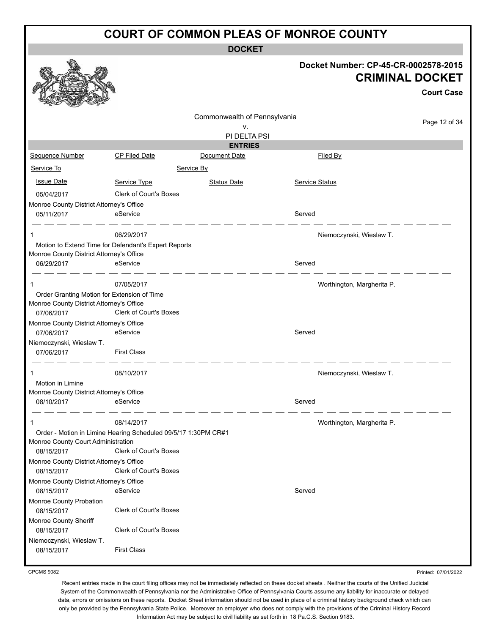**DOCKET**

|                                                                                                  |                               |                              | Docket Number: CP-45-CR-0002578-2015<br><b>CRIMINAL DOCKET</b><br><b>Court Case</b> |
|--------------------------------------------------------------------------------------------------|-------------------------------|------------------------------|-------------------------------------------------------------------------------------|
|                                                                                                  |                               | Commonwealth of Pennsylvania |                                                                                     |
|                                                                                                  |                               | v.                           | Page 12 of 34                                                                       |
|                                                                                                  |                               | PI DELTA PSI                 |                                                                                     |
|                                                                                                  |                               | <b>ENTRIES</b>               |                                                                                     |
| Sequence Number                                                                                  | CP Filed Date                 | Document Date                | <b>Filed By</b>                                                                     |
| Service To                                                                                       |                               | Service By                   |                                                                                     |
| <b>Issue Date</b>                                                                                | Service Type                  | <b>Status Date</b>           | <b>Service Status</b>                                                               |
| 05/04/2017                                                                                       | <b>Clerk of Court's Boxes</b> |                              |                                                                                     |
| Monroe County District Attorney's Office                                                         |                               |                              |                                                                                     |
| 05/11/2017                                                                                       | eService                      |                              | Served                                                                              |
| 1                                                                                                | 06/29/2017                    |                              | Niemoczynski, Wieslaw T.                                                            |
| Motion to Extend Time for Defendant's Expert Reports<br>Monroe County District Attorney's Office |                               |                              |                                                                                     |
| 06/29/2017                                                                                       | eService                      |                              | Served                                                                              |
| $\mathbf{1}$                                                                                     | 07/05/2017                    |                              | Worthington, Margherita P.                                                          |
| Order Granting Motion for Extension of Time<br>Monroe County District Attorney's Office          |                               |                              |                                                                                     |
| 07/06/2017                                                                                       | Clerk of Court's Boxes        |                              |                                                                                     |
| Monroe County District Attorney's Office                                                         |                               |                              |                                                                                     |
| 07/06/2017                                                                                       | eService                      |                              | Served                                                                              |
| Niemoczynski, Wieslaw T.<br>07/06/2017                                                           | <b>First Class</b>            |                              |                                                                                     |
|                                                                                                  |                               |                              |                                                                                     |
| 1                                                                                                | 08/10/2017                    |                              | Niemoczynski, Wieslaw T.                                                            |
| Motion in Limine                                                                                 |                               |                              |                                                                                     |
| Monroe County District Attorney's Office                                                         | eService                      |                              | Served                                                                              |
| 08/10/2017                                                                                       |                               |                              |                                                                                     |
| -1                                                                                               | 08/14/2017                    |                              | Worthington, Margherita P.                                                          |
| Order - Motion in Limine Hearing Scheduled 09/5/17 1:30PM CR#1                                   |                               |                              |                                                                                     |
| Monroe County Court Administration                                                               |                               |                              |                                                                                     |
| 08/15/2017                                                                                       | <b>Clerk of Court's Boxes</b> |                              |                                                                                     |
| Monroe County District Attorney's Office<br>08/15/2017                                           | <b>Clerk of Court's Boxes</b> |                              |                                                                                     |
| Monroe County District Attorney's Office                                                         |                               |                              |                                                                                     |
| 08/15/2017                                                                                       | eService                      |                              | Served                                                                              |
| Monroe County Probation                                                                          |                               |                              |                                                                                     |
| 08/15/2017                                                                                       | Clerk of Court's Boxes        |                              |                                                                                     |
| Monroe County Sheriff                                                                            |                               |                              |                                                                                     |
| 08/15/2017                                                                                       | Clerk of Court's Boxes        |                              |                                                                                     |
| Niemoczynski, Wieslaw T.                                                                         |                               |                              |                                                                                     |
| 08/15/2017                                                                                       | <b>First Class</b>            |                              |                                                                                     |
|                                                                                                  |                               |                              |                                                                                     |

CPCMS 9082

Recent entries made in the court filing offices may not be immediately reflected on these docket sheets . Neither the courts of the Unified Judicial System of the Commonwealth of Pennsylvania nor the Administrative Office of Pennsylvania Courts assume any liability for inaccurate or delayed data, errors or omissions on these reports. Docket Sheet information should not be used in place of a criminal history background check which can only be provided by the Pennsylvania State Police. Moreover an employer who does not comply with the provisions of the Criminal History Record Information Act may be subject to civil liability as set forth in 18 Pa.C.S. Section 9183.

Printed: 07/01/2022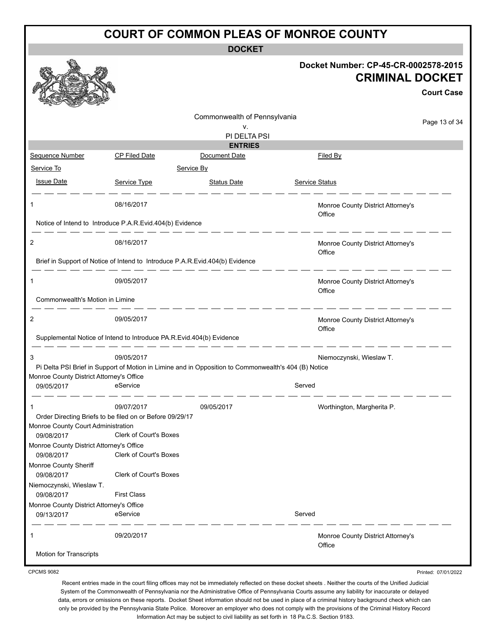**DOCKET**

| <b>CPCMS 9082</b>                                      |                                                                              |                                                                                                      |                                                                | Printed: 07/01/2022 |
|--------------------------------------------------------|------------------------------------------------------------------------------|------------------------------------------------------------------------------------------------------|----------------------------------------------------------------|---------------------|
| 1<br><b>Motion for Transcripts</b>                     | 09/20/2017                                                                   |                                                                                                      | Monroe County District Attorney's<br>Office                    |                     |
| 09/13/2017                                             | eService                                                                     |                                                                                                      | Served                                                         |                     |
| 09/08/2017<br>Monroe County District Attorney's Office | <b>First Class</b>                                                           |                                                                                                      |                                                                |                     |
| Niemoczynski, Wieslaw T.                               |                                                                              |                                                                                                      |                                                                |                     |
| Monroe County Sheriff<br>09/08/2017                    | Clerk of Court's Boxes                                                       |                                                                                                      |                                                                |                     |
| Monroe County District Attorney's Office<br>09/08/2017 | <b>Clerk of Court's Boxes</b>                                                |                                                                                                      |                                                                |                     |
| Monroe County Court Administration<br>09/08/2017       | <b>Clerk of Court's Boxes</b>                                                |                                                                                                      |                                                                |                     |
|                                                        | Order Directing Briefs to be filed on or Before 09/29/17                     |                                                                                                      |                                                                |                     |
| -1                                                     | 09/07/2017                                                                   | 09/05/2017                                                                                           | Worthington, Margherita P.                                     |                     |
| Monroe County District Attorney's Office<br>09/05/2017 | eService                                                                     | Pi Delta PSI Brief in Support of Motion in Limine and in Opposition to Commonwealth's 404 (B) Notice | Served                                                         |                     |
| 3                                                      | 09/05/2017                                                                   |                                                                                                      | Niemoczynski, Wieslaw T.                                       |                     |
|                                                        | Supplemental Notice of Intend to Introduce PA.R.Evid.404(b) Evidence         |                                                                                                      |                                                                |                     |
| 2                                                      | 09/05/2017                                                                   |                                                                                                      | Monroe County District Attorney's<br>Office                    |                     |
| Commonwealth's Motion in Limine                        |                                                                              |                                                                                                      | Office                                                         |                     |
| 1                                                      | 09/05/2017                                                                   |                                                                                                      | Monroe County District Attorney's                              |                     |
|                                                        | Brief in Support of Notice of Intend to Introduce P.A.R.Evid.404(b) Evidence |                                                                                                      | Office                                                         |                     |
| 2                                                      | 08/16/2017                                                                   |                                                                                                      | Monroe County District Attorney's                              |                     |
|                                                        | Notice of Intend to Introduce P.A.R.Evid.404(b) Evidence                     |                                                                                                      |                                                                |                     |
| 1                                                      | 08/16/2017                                                                   |                                                                                                      | Monroe County District Attorney's<br>Office                    |                     |
| <b>Issue Date</b>                                      | Service Type                                                                 | <b>Status Date</b>                                                                                   | Service Status                                                 |                     |
| Service To                                             |                                                                              | Service By                                                                                           |                                                                |                     |
| Sequence Number                                        | <b>CP Filed Date</b>                                                         | Document Date                                                                                        | Filed By                                                       |                     |
|                                                        |                                                                              | PI DELTA PSI<br><b>ENTRIES</b>                                                                       |                                                                |                     |
|                                                        |                                                                              | Commonwealth of Pennsylvania<br>v.                                                                   |                                                                | Page 13 of 34       |
|                                                        |                                                                              |                                                                                                      |                                                                |                     |
|                                                        |                                                                              |                                                                                                      |                                                                | <b>Court Case</b>   |
|                                                        |                                                                              |                                                                                                      | Docket Number: CP-45-CR-0002578-2015<br><b>CRIMINAL DOCKET</b> |                     |
|                                                        |                                                                              |                                                                                                      |                                                                |                     |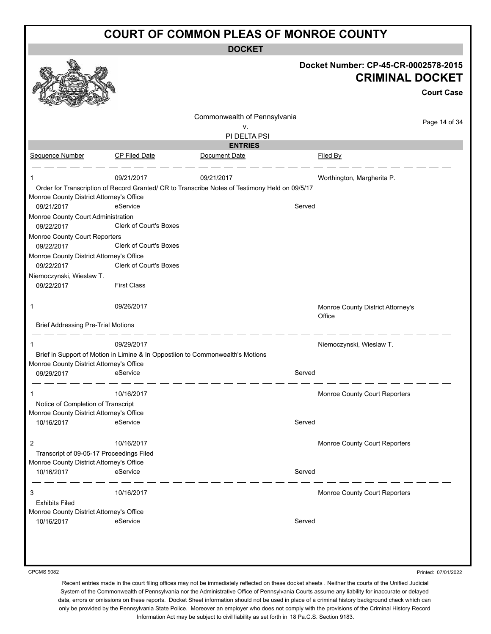**DOCKET**

|                                             |                                                                                |                                                                                                | Docket Number: CP-45-CR-0002578-2015<br><b>CRIMINAL DOCKET</b><br><b>Court Case</b> |
|---------------------------------------------|--------------------------------------------------------------------------------|------------------------------------------------------------------------------------------------|-------------------------------------------------------------------------------------|
|                                             |                                                                                | Commonwealth of Pennsylvania                                                                   |                                                                                     |
|                                             |                                                                                | v.                                                                                             | Page 14 of 34                                                                       |
|                                             |                                                                                | PI DELTA PSI                                                                                   |                                                                                     |
|                                             |                                                                                | <b>ENTRIES</b>                                                                                 |                                                                                     |
| Sequence Number                             | CP Filed Date                                                                  | Document Date                                                                                  | Filed By                                                                            |
| 1                                           | 09/21/2017                                                                     | 09/21/2017                                                                                     | Worthington, Margherita P.                                                          |
| Monroe County District Attorney's Office    |                                                                                | Order for Transcription of Record Granted/ CR to Transcribe Notes of Testimony Held on 09/5/17 |                                                                                     |
| 09/21/2017                                  | eService                                                                       | Served                                                                                         |                                                                                     |
| Monroe County Court Administration          | Clerk of Court's Boxes                                                         |                                                                                                |                                                                                     |
| 09/22/2017<br>Monroe County Court Reporters |                                                                                |                                                                                                |                                                                                     |
| 09/22/2017                                  | Clerk of Court's Boxes                                                         |                                                                                                |                                                                                     |
| Monroe County District Attorney's Office    |                                                                                |                                                                                                |                                                                                     |
| 09/22/2017                                  | Clerk of Court's Boxes                                                         |                                                                                                |                                                                                     |
| Niemoczynski, Wieslaw T.                    |                                                                                |                                                                                                |                                                                                     |
| 09/22/2017                                  | <b>First Class</b>                                                             |                                                                                                |                                                                                     |
| 1                                           | 09/26/2017                                                                     |                                                                                                | Monroe County District Attorney's<br>Office                                         |
| <b>Brief Addressing Pre-Trial Motions</b>   |                                                                                |                                                                                                |                                                                                     |
|                                             | 09/29/2017                                                                     |                                                                                                | Niemoczynski, Wieslaw T.                                                            |
|                                             | Brief in Support of Motion in Limine & In Oppostiion to Commonwealth's Motions |                                                                                                |                                                                                     |
| Monroe County District Attorney's Office    |                                                                                |                                                                                                |                                                                                     |
| 09/29/2017                                  | eService                                                                       | Served                                                                                         |                                                                                     |
|                                             | 10/16/2017                                                                     |                                                                                                | Monroe County Court Reporters                                                       |
| Notice of Completion of Transcript          |                                                                                |                                                                                                |                                                                                     |
| Monroe County District Attorney's Office    |                                                                                |                                                                                                |                                                                                     |
| 10/16/2017                                  | eService                                                                       | Served                                                                                         |                                                                                     |
| 2                                           | 10/16/2017                                                                     |                                                                                                | Monroe County Court Reporters                                                       |
| Transcript of 09-05-17 Proceedings Filed    |                                                                                |                                                                                                |                                                                                     |
| Monroe County District Attorney's Office    |                                                                                |                                                                                                |                                                                                     |
| 10/16/2017                                  | eService                                                                       | Served                                                                                         |                                                                                     |
| 3                                           | 10/16/2017                                                                     |                                                                                                | Monroe County Court Reporters                                                       |
| <b>Exhibits Filed</b>                       |                                                                                |                                                                                                |                                                                                     |
| Monroe County District Attorney's Office    |                                                                                |                                                                                                |                                                                                     |
|                                             | eService                                                                       | Served                                                                                         |                                                                                     |

CPCMS 9082

Printed: 07/01/2022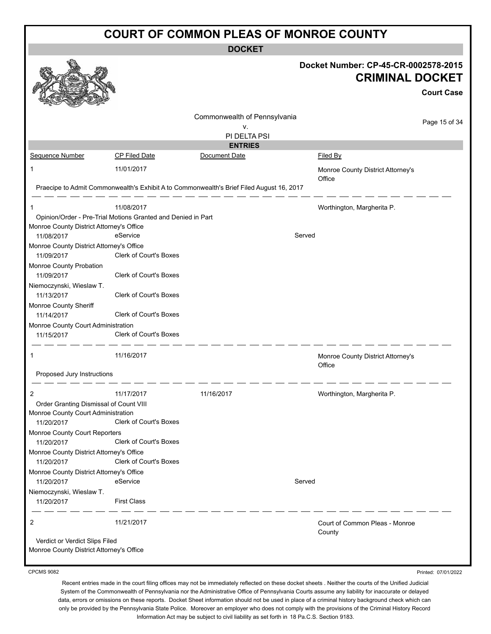|                                                                                                 |                                                                                        |                                                                                          | <b>COURT OF COMMON PLEAS OF MONROE COUNTY</b>                                       |
|-------------------------------------------------------------------------------------------------|----------------------------------------------------------------------------------------|------------------------------------------------------------------------------------------|-------------------------------------------------------------------------------------|
|                                                                                                 |                                                                                        | <b>DOCKET</b>                                                                            |                                                                                     |
|                                                                                                 |                                                                                        |                                                                                          | Docket Number: CP-45-CR-0002578-2015<br><b>CRIMINAL DOCKET</b><br><b>Court Case</b> |
|                                                                                                 |                                                                                        | Commonwealth of Pennsylvania<br>۷.<br>PI DELTA PSI                                       | Page 15 of 34                                                                       |
| Sequence Number                                                                                 | <b>CP Filed Date</b>                                                                   | <b>ENTRIES</b><br>Document Date                                                          | Filed By                                                                            |
| 1                                                                                               | 11/01/2017                                                                             |                                                                                          | Monroe County District Attorney's<br>Office                                         |
|                                                                                                 |                                                                                        | Praecipe to Admit Commonwealth's Exhibit A to Commonwealth's Brief Filed August 16, 2017 |                                                                                     |
| 1<br>Monroe County District Attorney's Office<br>11/08/2017                                     | 11/08/2017<br>Opinion/Order - Pre-Trial Motions Granted and Denied in Part<br>eService |                                                                                          | Worthington, Margherita P.<br>Served                                                |
| Monroe County District Attorney's Office<br>11/09/2017<br>Monroe County Probation               | Clerk of Court's Boxes                                                                 |                                                                                          |                                                                                     |
| 11/09/2017<br>Niemoczynski, Wieslaw T.<br>11/13/2017                                            | Clerk of Court's Boxes<br>Clerk of Court's Boxes                                       |                                                                                          |                                                                                     |
| Monroe County Sheriff<br>11/14/2017                                                             | Clerk of Court's Boxes                                                                 |                                                                                          |                                                                                     |
| Monroe County Court Administration<br>11/15/2017                                                | Clerk of Court's Boxes                                                                 |                                                                                          |                                                                                     |
| 1                                                                                               | 11/16/2017                                                                             |                                                                                          | Monroe County District Attorney's<br>Office                                         |
| Proposed Jury Instructions                                                                      |                                                                                        |                                                                                          |                                                                                     |
| 2<br>Order Granting Dismissal of Count VIII<br>Monroe County Court Administration<br>11/20/2017 | 11/17/2017<br>Clerk of Court's Boxes                                                   | 11/16/2017                                                                               | Worthington, Margherita P.                                                          |
| Monroe County Court Reporters<br>11/20/2017                                                     | Clerk of Court's Boxes                                                                 |                                                                                          |                                                                                     |
| Monroe County District Attorney's Office<br>11/20/2017                                          | Clerk of Court's Boxes                                                                 |                                                                                          |                                                                                     |
| Monroe County District Attorney's Office<br>11/20/2017                                          | eService                                                                               |                                                                                          | Served                                                                              |
| Niemoczynski, Wieslaw T.<br>11/20/2017                                                          | <b>First Class</b>                                                                     |                                                                                          |                                                                                     |
| 2<br>Verdict or Verdict Slips Filed                                                             | 11/21/2017                                                                             |                                                                                          | Court of Common Pleas - Monroe<br>County                                            |
| Monroe County District Attorney's Office                                                        |                                                                                        |                                                                                          |                                                                                     |

#### CPCMS 9082

Recent entries made in the court filing offices may not be immediately reflected on these docket sheets . Neither the courts of the Unified Judicial System of the Commonwealth of Pennsylvania nor the Administrative Office of Pennsylvania Courts assume any liability for inaccurate or delayed data, errors or omissions on these reports. Docket Sheet information should not be used in place of a criminal history background check which can only be provided by the Pennsylvania State Police. Moreover an employer who does not comply with the provisions of the Criminal History Record Information Act may be subject to civil liability as set forth in 18 Pa.C.S. Section 9183.

Printed: 07/01/2022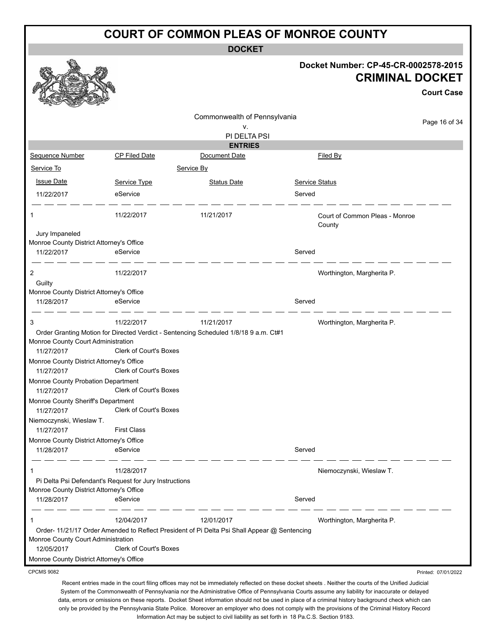**DOCKET**

| Docket Number: CP-45-CR-0002578-2015 |  |
|--------------------------------------|--|
| <b>CRIMINAL DOCKET</b>               |  |

**Court Case**

|                                                            |                                                        |                                                                                              |                       |                                          | <b>Court Case</b>   |
|------------------------------------------------------------|--------------------------------------------------------|----------------------------------------------------------------------------------------------|-----------------------|------------------------------------------|---------------------|
|                                                            |                                                        | Commonwealth of Pennsylvania                                                                 |                       |                                          | Page 16 of 34       |
|                                                            |                                                        | v.                                                                                           |                       |                                          |                     |
|                                                            |                                                        | PI DELTA PSI                                                                                 |                       |                                          |                     |
|                                                            |                                                        | <b>ENTRIES</b>                                                                               |                       |                                          |                     |
| Sequence Number                                            | <b>CP Filed Date</b>                                   | Document Date                                                                                |                       | Filed By                                 |                     |
| Service To                                                 |                                                        | Service By                                                                                   |                       |                                          |                     |
| <b>Issue Date</b>                                          | Service Type                                           | <b>Status Date</b>                                                                           | <b>Service Status</b> |                                          |                     |
| 11/22/2017                                                 | eService                                               |                                                                                              | Served                |                                          |                     |
| 1                                                          | 11/22/2017                                             | 11/21/2017                                                                                   |                       | Court of Common Pleas - Monroe<br>County |                     |
| Jury Impaneled<br>Monroe County District Attorney's Office |                                                        |                                                                                              |                       |                                          |                     |
| 11/22/2017                                                 | eService                                               |                                                                                              | Served                |                                          |                     |
| 2                                                          | 11/22/2017                                             |                                                                                              |                       | Worthington, Margherita P.               |                     |
| Guilty                                                     |                                                        |                                                                                              |                       |                                          |                     |
| Monroe County District Attorney's Office                   |                                                        |                                                                                              |                       |                                          |                     |
| 11/28/2017                                                 | eService                                               |                                                                                              | Served                |                                          |                     |
| 3                                                          | 11/22/2017                                             | 11/21/2017                                                                                   |                       | Worthington, Margherita P.               |                     |
|                                                            |                                                        | Order Granting Motion for Directed Verdict - Sentencing Scheduled 1/8/18 9 a.m. Ct#1         |                       |                                          |                     |
| Monroe County Court Administration<br>11/27/2017           | <b>Clerk of Court's Boxes</b>                          |                                                                                              |                       |                                          |                     |
| Monroe County District Attorney's Office                   |                                                        |                                                                                              |                       |                                          |                     |
| 11/27/2017                                                 | Clerk of Court's Boxes                                 |                                                                                              |                       |                                          |                     |
| Monroe County Probation Department                         |                                                        |                                                                                              |                       |                                          |                     |
| 11/27/2017                                                 | Clerk of Court's Boxes                                 |                                                                                              |                       |                                          |                     |
| Monroe County Sheriff's Department                         |                                                        |                                                                                              |                       |                                          |                     |
| 11/27/2017                                                 | <b>Clerk of Court's Boxes</b>                          |                                                                                              |                       |                                          |                     |
| Niemoczynski, Wieslaw T.                                   |                                                        |                                                                                              |                       |                                          |                     |
| 11/27/2017                                                 | <b>First Class</b>                                     |                                                                                              |                       |                                          |                     |
| Monroe County District Attorney's Office                   |                                                        |                                                                                              |                       |                                          |                     |
| 11/28/2017                                                 | eService                                               |                                                                                              | Served                |                                          |                     |
| 1                                                          | 11/28/2017                                             |                                                                                              |                       | Niemoczynski, Wieslaw T.                 |                     |
|                                                            | Pi Delta Psi Defendant's Request for Jury Instructions |                                                                                              |                       |                                          |                     |
| Monroe County District Attorney's Office                   |                                                        |                                                                                              |                       |                                          |                     |
| 11/28/2017                                                 | eService                                               |                                                                                              | Served                |                                          |                     |
| 1                                                          | 12/04/2017                                             | 12/01/2017                                                                                   |                       | Worthington, Margherita P.               |                     |
| Monroe County Court Administration                         |                                                        | Order- 11/21/17 Order Amended to Reflect President of Pi Delta Psi Shall Appear @ Sentencing |                       |                                          |                     |
| 12/05/2017                                                 | <b>Clerk of Court's Boxes</b>                          |                                                                                              |                       |                                          |                     |
| Monroe County District Attorney's Office                   |                                                        |                                                                                              |                       |                                          |                     |
| <b>CPCMS 9082</b>                                          |                                                        |                                                                                              |                       |                                          | Printed: 07/01/2022 |

CPCMS 9082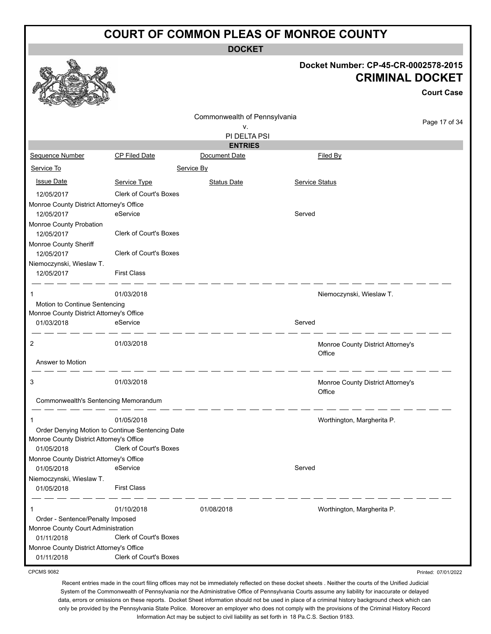**DOCKET**

#### **Docket Number: CP-45-CR-0002578-2015 CRIMINAL DOCKET**

**Court Case** Commonwealth of Pennsylvania Page 17 of 34 v. PI DELTA PSI **ENTRIES** Sequence Number CP Filed Date Document Date **Document Date** Filed By Service To Service By **Issue Date Service Type** Service Type Status Date Service Status Date Service Status Service Status Date Service Status 12/05/2017 Clerk of Court's Boxes Monroe County District Attorney's Office 12/05/2017 eService Served Monroe County Probation 12/05/2017 Clerk of Court's Boxes Monroe County Sheriff 12/05/2017 Clerk of Court's Boxes Niemoczynski, Wieslaw T. 12/05/2017 First Class 1 01/03/2018 Niemoczynski, Wieslaw T. Motion to Continue Sentencing Monroe County District Attorney's Office 01/03/2018 eService entertainment of the Served 2 01/03/2018 Monroe County District Attorney's **Office** Answer to Motion \_ \_\_ \_\_ \_\_ \_\_ \_\_ \_\_ \_\_ 3 01/03/2018 Monroe County District Attorney's **Office** Commonwealth's Sentencing Memorandum \_ \_\_ \_\_ \_\_ \_\_ 1 01/05/2018 Worthington, Margherita P. Order Denying Motion to Continue Sentencing Date Monroe County District Attorney's Office 01/05/2018 Clerk of Court's Boxes Monroe County District Attorney's Office 01/05/2018 eService Served Niemoczynski, Wieslaw T. 01/05/2018 First Class 1 01/10/2018 01/08/2018 Worthington, Margherita P. Order - Sentence/Penalty Imposed Monroe County Court Administration 01/11/2018 Clerk of Court's Boxes Monroe County District Attorney's Office

01/11/2018 Clerk of Court's Boxes CPCMS 9082

Printed: 07/01/2022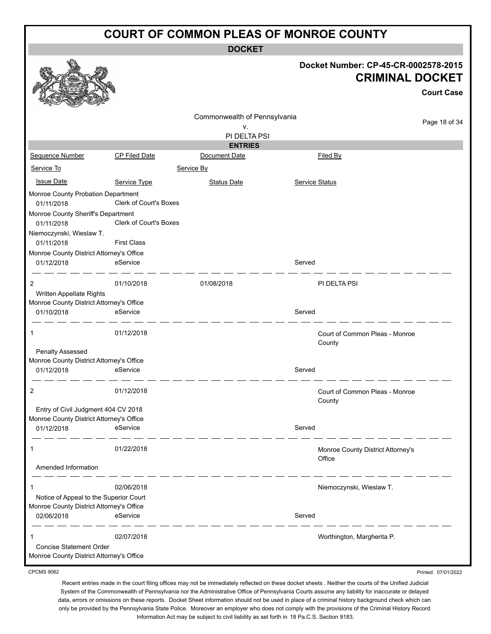**DOCKET**

|                                                                                    |                        |                              |                | Docket Number: CP-45-CR-0002578-2015<br><b>CRIMINAL DOCKET</b> | <b>Court Case</b> |
|------------------------------------------------------------------------------------|------------------------|------------------------------|----------------|----------------------------------------------------------------|-------------------|
|                                                                                    |                        | Commonwealth of Pennsylvania |                |                                                                | Page 18 of 34     |
|                                                                                    |                        | ν.<br>PI DELTA PSI           |                |                                                                |                   |
|                                                                                    |                        | <b>ENTRIES</b>               |                |                                                                |                   |
| Sequence Number                                                                    | <b>CP Filed Date</b>   | Document Date                |                | Filed By                                                       |                   |
| Service To                                                                         |                        | Service By                   |                |                                                                |                   |
| <b>Issue Date</b>                                                                  | Service Type           | <b>Status Date</b>           | Service Status |                                                                |                   |
| Monroe County Probation Department<br>01/11/2018                                   | Clerk of Court's Boxes |                              |                |                                                                |                   |
| Monroe County Sheriff's Department                                                 |                        |                              |                |                                                                |                   |
| 01/11/2018                                                                         | Clerk of Court's Boxes |                              |                |                                                                |                   |
| Niemoczynski, Wieslaw T.                                                           | <b>First Class</b>     |                              |                |                                                                |                   |
| 01/11/2018<br>Monroe County District Attorney's Office                             |                        |                              |                |                                                                |                   |
| 01/12/2018                                                                         | eService               |                              | Served         |                                                                |                   |
| 2                                                                                  | 01/10/2018             | 01/08/2018                   |                | PI DELTA PSI                                                   |                   |
| Written Appellate Rights                                                           |                        |                              |                |                                                                |                   |
| Monroe County District Attorney's Office                                           |                        |                              | Served         |                                                                |                   |
| 01/10/2018                                                                         | eService               |                              |                |                                                                |                   |
| 1                                                                                  | 01/12/2018             |                              |                | Court of Common Pleas - Monroe<br>County                       |                   |
| <b>Penalty Assessed</b>                                                            |                        |                              |                |                                                                |                   |
| Monroe County District Attorney's Office                                           |                        |                              |                |                                                                |                   |
| 01/12/2018                                                                         | eService               |                              | Served         |                                                                |                   |
| 2                                                                                  | 01/12/2018             |                              |                | Court of Common Pleas - Monroe<br>County                       |                   |
| Entry of Civil Judgment 404 CV 2018                                                |                        |                              |                |                                                                |                   |
| Monroe County District Attorney's Office                                           |                        |                              |                |                                                                |                   |
| 01/12/2018                                                                         | eService               |                              | Served         |                                                                |                   |
| 1                                                                                  | 01/22/2018             |                              |                | Monroe County District Attorney's<br>Office                    |                   |
| Amended Information                                                                |                        |                              |                |                                                                |                   |
|                                                                                    |                        |                              |                |                                                                |                   |
|                                                                                    | 02/06/2018             |                              |                | Niemoczynski, Wieslaw T.                                       |                   |
| Notice of Appeal to the Superior Court<br>Monroe County District Attorney's Office |                        |                              |                |                                                                |                   |
| 02/06/2018                                                                         | eService               |                              | Served         |                                                                |                   |
|                                                                                    |                        |                              |                |                                                                |                   |
| 1<br><b>Concise Statement Order</b>                                                | 02/07/2018             |                              |                | Worthington, Margherita P.                                     |                   |
| Monroe County District Attorney's Office                                           |                        |                              |                |                                                                |                   |
|                                                                                    |                        |                              |                |                                                                |                   |

CPCMS 9082

Recent entries made in the court filing offices may not be immediately reflected on these docket sheets . Neither the courts of the Unified Judicial System of the Commonwealth of Pennsylvania nor the Administrative Office of Pennsylvania Courts assume any liability for inaccurate or delayed data, errors or omissions on these reports. Docket Sheet information should not be used in place of a criminal history background check which can only be provided by the Pennsylvania State Police. Moreover an employer who does not comply with the provisions of the Criminal History Record Information Act may be subject to civil liability as set forth in 18 Pa.C.S. Section 9183.

Printed: 07/01/2022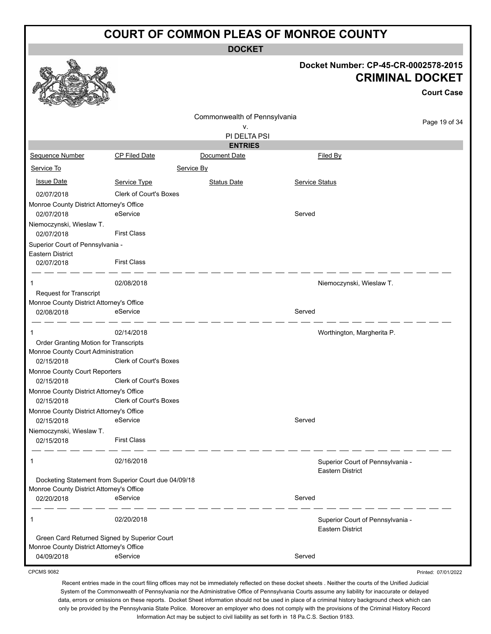**DOCKET**

#### **Docket Number: CP-45-CR-0002578-2015 CRIMINAL DOCKET**

Printed: 07/01/2022

|                                                        |                                                      |                                    |                       |                                  | <b>Court Case</b> |
|--------------------------------------------------------|------------------------------------------------------|------------------------------------|-----------------------|----------------------------------|-------------------|
|                                                        |                                                      | Commonwealth of Pennsylvania<br>v. |                       |                                  | Page 19 of 34     |
|                                                        |                                                      | PI DELTA PSI                       |                       |                                  |                   |
|                                                        |                                                      | <b>ENTRIES</b>                     |                       |                                  |                   |
| Sequence Number                                        | <b>CP Filed Date</b>                                 | Document Date                      |                       | Filed By                         |                   |
| Service To                                             |                                                      | Service By                         |                       |                                  |                   |
| <b>Issue Date</b>                                      | Service Type                                         | <b>Status Date</b>                 | <b>Service Status</b> |                                  |                   |
| 02/07/2018                                             | <b>Clerk of Court's Boxes</b>                        |                                    |                       |                                  |                   |
| Monroe County District Attorney's Office               |                                                      |                                    |                       |                                  |                   |
| 02/07/2018                                             | eService                                             |                                    | Served                |                                  |                   |
| Niemoczynski, Wieslaw T.                               |                                                      |                                    |                       |                                  |                   |
| 02/07/2018                                             | <b>First Class</b>                                   |                                    |                       |                                  |                   |
| Superior Court of Pennsylvania -                       |                                                      |                                    |                       |                                  |                   |
| <b>Eastern District</b><br>02/07/2018                  | <b>First Class</b>                                   |                                    |                       |                                  |                   |
|                                                        |                                                      |                                    |                       |                                  |                   |
| 1                                                      | 02/08/2018                                           |                                    |                       | Niemoczynski, Wieslaw T.         |                   |
| <b>Request for Transcript</b>                          |                                                      |                                    |                       |                                  |                   |
| Monroe County District Attorney's Office               |                                                      |                                    |                       |                                  |                   |
| 02/08/2018                                             | eService                                             |                                    | Served                |                                  |                   |
| 1                                                      | 02/14/2018                                           |                                    |                       | Worthington, Margherita P.       |                   |
| Order Granting Motion for Transcripts                  |                                                      |                                    |                       |                                  |                   |
| Monroe County Court Administration                     |                                                      |                                    |                       |                                  |                   |
| 02/15/2018                                             | Clerk of Court's Boxes                               |                                    |                       |                                  |                   |
| Monroe County Court Reporters                          |                                                      |                                    |                       |                                  |                   |
| 02/15/2018                                             | Clerk of Court's Boxes                               |                                    |                       |                                  |                   |
| Monroe County District Attorney's Office               | Clerk of Court's Boxes                               |                                    |                       |                                  |                   |
| 02/15/2018                                             |                                                      |                                    |                       |                                  |                   |
| Monroe County District Attorney's Office<br>02/15/2018 | eService                                             |                                    | Served                |                                  |                   |
| Niemoczynski, Wieslaw T.                               |                                                      |                                    |                       |                                  |                   |
| 02/15/2018                                             | <b>First Class</b>                                   |                                    |                       |                                  |                   |
| 1                                                      | 02/16/2018                                           |                                    |                       | Superior Court of Pennsylvania - |                   |
|                                                        |                                                      |                                    |                       | <b>Eastern District</b>          |                   |
|                                                        | Docketing Statement from Superior Court due 04/09/18 |                                    |                       |                                  |                   |
| Monroe County District Attorney's Office               |                                                      |                                    |                       |                                  |                   |
| 02/20/2018                                             | eService                                             |                                    | Served                |                                  |                   |
| 1                                                      | 02/20/2018                                           |                                    |                       | Superior Court of Pennsylvania - |                   |
|                                                        |                                                      |                                    |                       | <b>Eastern District</b>          |                   |
| Green Card Returned Signed by Superior Court           |                                                      |                                    |                       |                                  |                   |
| Monroe County District Attorney's Office<br>04/09/2018 | eService                                             |                                    | Served                |                                  |                   |
|                                                        |                                                      |                                    |                       |                                  |                   |

CPCMS 9082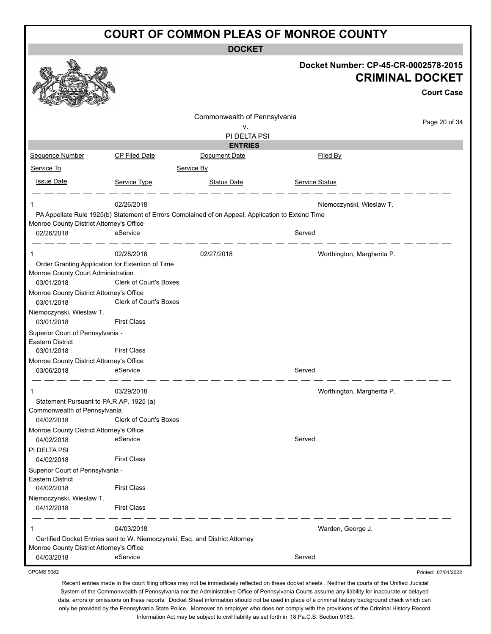**DOCKET**

|                                                                                        |                                                                                                   |                              | Docket Number: CP-45-CR-0002578-2015 | <b>CRIMINAL DOCKET</b><br><b>Court Case</b> |
|----------------------------------------------------------------------------------------|---------------------------------------------------------------------------------------------------|------------------------------|--------------------------------------|---------------------------------------------|
|                                                                                        |                                                                                                   | Commonwealth of Pennsylvania |                                      | Page 20 of 34                               |
|                                                                                        |                                                                                                   | ۷.<br>PI DELTA PSI           |                                      |                                             |
|                                                                                        |                                                                                                   | <b>ENTRIES</b>               |                                      |                                             |
| <b>Sequence Number</b>                                                                 | <b>CP Filed Date</b>                                                                              | Document Date                | <b>Filed By</b>                      |                                             |
| Service To                                                                             |                                                                                                   | Service By                   |                                      |                                             |
| <b>Issue Date</b>                                                                      | Service Type                                                                                      | <b>Status Date</b>           | <b>Service Status</b>                |                                             |
|                                                                                        | 02/26/2018                                                                                        |                              | Niemoczynski, Wieslaw T.             |                                             |
|                                                                                        | PA Appellate Rule 1925(b) Statement of Errors Complained of on Appeal, Application to Extend Time |                              |                                      |                                             |
| Monroe County District Attorney's Office<br>02/26/2018                                 | eService                                                                                          |                              | Served                               |                                             |
| 1                                                                                      | 02/28/2018                                                                                        | 02/27/2018                   | Worthington, Margherita P.           |                                             |
| Order Granting Application for Extention of Time<br>Monroe County Court Administration |                                                                                                   |                              |                                      |                                             |
| 03/01/2018<br>Monroe County District Attorney's Office                                 | <b>Clerk of Court's Boxes</b>                                                                     |                              |                                      |                                             |
| 03/01/2018                                                                             | <b>Clerk of Court's Boxes</b>                                                                     |                              |                                      |                                             |
| Niemoczynski, Wieslaw T.<br>03/01/2018                                                 | <b>First Class</b>                                                                                |                              |                                      |                                             |
| Superior Court of Pennsylvania -<br><b>Eastern District</b>                            |                                                                                                   |                              |                                      |                                             |
| 03/01/2018                                                                             | <b>First Class</b>                                                                                |                              |                                      |                                             |
| Monroe County District Attorney's Office                                               |                                                                                                   |                              |                                      |                                             |
| 03/06/2018                                                                             | eService                                                                                          |                              | Served                               |                                             |
|                                                                                        | 03/29/2018                                                                                        |                              | Worthington, Margherita P.           |                                             |
| Statement Pursuant to PA.R.AP. 1925 (a)                                                |                                                                                                   |                              |                                      |                                             |
| Commonwealth of Pennsylvania<br>04/02/2018                                             | <b>Clerk of Court's Boxes</b>                                                                     |                              |                                      |                                             |
| Monroe County District Attorney's Office                                               |                                                                                                   |                              |                                      |                                             |
| 04/02/2018                                                                             | eService                                                                                          |                              | Served                               |                                             |
| PI DELTA PSI                                                                           |                                                                                                   |                              |                                      |                                             |
| 04/02/2018                                                                             | <b>First Class</b>                                                                                |                              |                                      |                                             |
| Superior Court of Pennsylvania -<br>Eastern District<br>04/02/2018                     | <b>First Class</b>                                                                                |                              |                                      |                                             |
| Niemoczynski, Wieslaw T.<br>04/12/2018                                                 | <b>First Class</b>                                                                                |                              |                                      |                                             |
| 1                                                                                      | 04/03/2018                                                                                        |                              | Warden, George J.                    |                                             |
|                                                                                        | Certified Docket Entries sent to W. Niemoczynski, Esq. and District Attorney                      |                              |                                      |                                             |
| Monroe County District Attorney's Office<br>04/03/2018                                 | eService                                                                                          |                              | Served                               |                                             |
| <b>CPCMS 9082</b>                                                                      |                                                                                                   |                              |                                      | Printed: 07/01/2022                         |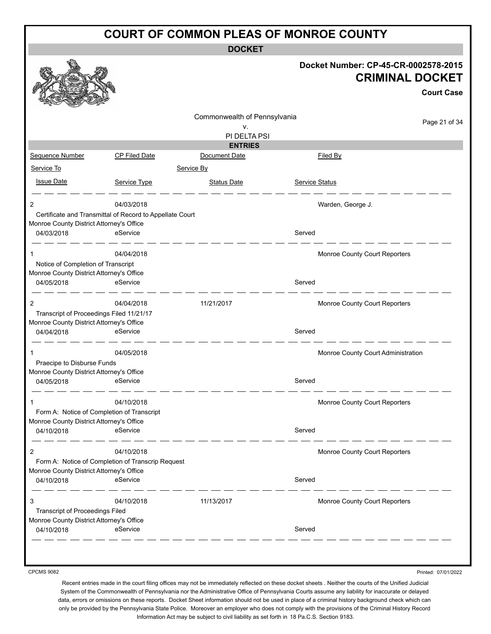**DOCKET**

|                                                        |                                                          | <b>UUUNEI</b>                |                                                                |
|--------------------------------------------------------|----------------------------------------------------------|------------------------------|----------------------------------------------------------------|
|                                                        |                                                          |                              | Docket Number: CP-45-CR-0002578-2015<br><b>CRIMINAL DOCKET</b> |
|                                                        |                                                          |                              | <b>Court Case</b>                                              |
|                                                        |                                                          | Commonwealth of Pennsylvania |                                                                |
|                                                        |                                                          | v.                           | Page 21 of 34                                                  |
|                                                        |                                                          | PI DELTA PSI                 |                                                                |
|                                                        |                                                          | <b>ENTRIES</b>               |                                                                |
| Sequence Number                                        | CP Filed Date                                            | Document Date                | Filed By                                                       |
| Service To                                             |                                                          | Service By                   |                                                                |
| <b>Issue Date</b>                                      | Service Type                                             | <b>Status Date</b>           | Service Status                                                 |
| 2                                                      | 04/03/2018                                               |                              | Warden, George J.                                              |
|                                                        | Certificate and Transmittal of Record to Appellate Court |                              |                                                                |
| Monroe County District Attorney's Office               |                                                          |                              |                                                                |
| 04/03/2018                                             | eService                                                 |                              | Served                                                         |
| 1                                                      | 04/04/2018                                               |                              | Monroe County Court Reporters                                  |
| Notice of Completion of Transcript                     |                                                          |                              |                                                                |
| Monroe County District Attorney's Office<br>04/05/2018 | eService                                                 |                              | Served                                                         |
|                                                        |                                                          |                              |                                                                |
| $\overline{c}$                                         | 04/04/2018                                               | 11/21/2017                   | Monroe County Court Reporters                                  |
| Transcript of Proceedings Filed 11/21/17               |                                                          |                              |                                                                |
| Monroe County District Attorney's Office               |                                                          |                              |                                                                |
| 04/04/2018                                             | eService                                                 |                              | Served                                                         |
| 1                                                      | 04/05/2018                                               |                              | Monroe County Court Administration                             |
| Praecipe to Disburse Funds                             |                                                          |                              |                                                                |
| Monroe County District Attorney's Office               |                                                          |                              |                                                                |
| 04/05/2018                                             | eService                                                 |                              | Served                                                         |
| 1                                                      | 04/10/2018                                               |                              | Monroe County Court Reporters                                  |
|                                                        | Form A: Notice of Completion of Transcript               |                              |                                                                |
| Monroe County District Attorney's Office               |                                                          |                              |                                                                |
| 04/10/2018                                             | eService                                                 |                              | Served                                                         |
| 2                                                      | 04/10/2018                                               |                              | Monroe County Court Reporters                                  |
|                                                        | Form A: Notice of Completion of Transcrip Request        |                              |                                                                |
| Monroe County District Attorney's Office               |                                                          |                              |                                                                |
| 04/10/2018                                             | eService                                                 |                              | Served                                                         |
| 3                                                      | 04/10/2018                                               | 11/13/2017                   | Monroe County Court Reporters                                  |
| <b>Transcript of Proceedings Filed</b>                 |                                                          |                              |                                                                |
| Monroe County District Attorney's Office               |                                                          |                              |                                                                |
| 04/10/2018                                             | eService                                                 |                              | Served                                                         |

CPCMS 9082

Printed: 07/01/2022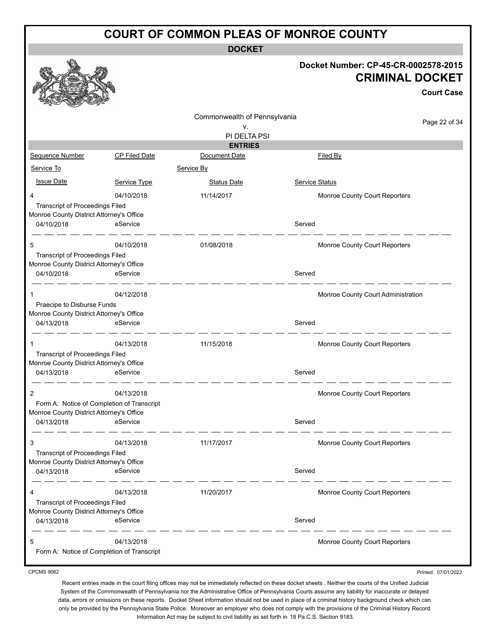**DOCKET**

#### **Docket Number: CP-45-CR-0002578-2015 CRIMINAL DOCKET**

**Court Case**

Commonwealth of Pennsylvania Page 22 of 34 v. PI DELTA PSI **ENTRIES** Sequence Number CP Filed Date Document Date **Document Date** Filed By Service To Service By **Issue Date Service Type** Service Type Status Date Service Status Date Service Status Service Status Date Service Status 4 04/10/2018 11/14/2017 Monroe County Court Reporters Transcript of Proceedings Filed Monroe County District Attorney's Office 04/10/2018 eService eservice served  $\overline{\phantom{a}}$ 5 04/10/2018 01/08/2018 Monroe County Court Reporters Transcript of Proceedings Filed Monroe County District Attorney's Office 04/10/2018 eService Served  $-$ 1 1 04/12/2018 04/12/2018 1 04/12/2018 05/12 12:00 06/12/2018 Praecipe to Disburse Funds Monroe County District Attorney's Office 04/13/2018 eService entertainment of the Served  $\overline{\phantom{a}}$   $\overline{\phantom{a}}$ 1 04/13/2018 11/15/2018 Monroe County Court Reporters Transcript of Proceedings Filed Monroe County District Attorney's Office 04/13/2018 eService entertainment of the Served 2 04/13/2018 **DESIGNATE:** 04/13/2018 Form A: Notice of Completion of Transcript Monroe County District Attorney's Office 04/13/2018 eService entertainment of the Served 3 04/13/2018 11/17/2017 Monroe County Court Reporters Transcript of Proceedings Filed Monroe County District Attorney's Office 04/13/2018 eService Served \_ \_\_ \_\_ \_\_ \_\_ 4 04/13/2018 11/20/2017 Monroe County Court Reporters Transcript of Proceedings Filed Monroe County District Attorney's Office 04/13/2018 eService Served 5 04/13/2018 Monroe County Court Reporters Form A: Notice of Completion of Transcript

CPCMS 9082

Printed: 07/01/2022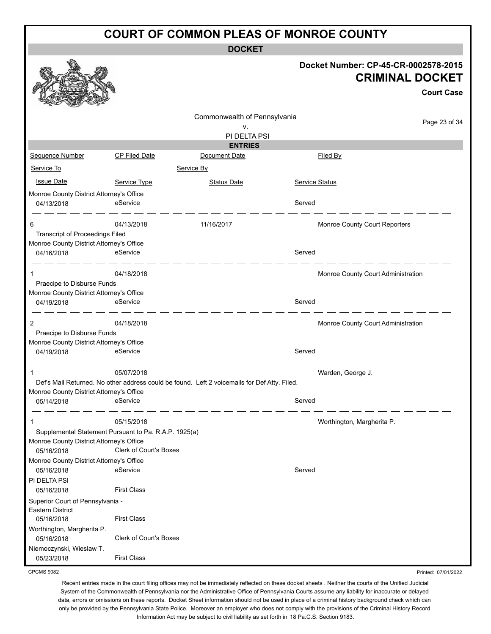**DOCKET**

|                                                                                                                 |                               | <b>UUNL</b>                                                                                  |                                                                                     |
|-----------------------------------------------------------------------------------------------------------------|-------------------------------|----------------------------------------------------------------------------------------------|-------------------------------------------------------------------------------------|
|                                                                                                                 |                               |                                                                                              | Docket Number: CP-45-CR-0002578-2015<br><b>CRIMINAL DOCKET</b><br><b>Court Case</b> |
|                                                                                                                 |                               |                                                                                              |                                                                                     |
|                                                                                                                 |                               | Commonwealth of Pennsylvania                                                                 | Page 23 of 34                                                                       |
|                                                                                                                 |                               | v.<br>PI DELTA PSI                                                                           |                                                                                     |
|                                                                                                                 |                               | <b>ENTRIES</b>                                                                               |                                                                                     |
| Sequence Number                                                                                                 | CP Filed Date                 | Document Date                                                                                | <b>Filed By</b>                                                                     |
| Service To                                                                                                      |                               | Service By                                                                                   |                                                                                     |
| <b>Issue Date</b>                                                                                               | Service Type                  | <b>Status Date</b>                                                                           | <b>Service Status</b>                                                               |
| Monroe County District Attorney's Office                                                                        |                               |                                                                                              |                                                                                     |
| 04/13/2018                                                                                                      | eService                      |                                                                                              | Served                                                                              |
| 6<br><b>Transcript of Proceedings Filed</b>                                                                     | 04/13/2018                    | 11/16/2017                                                                                   | Monroe County Court Reporters                                                       |
| Monroe County District Attorney's Office                                                                        |                               |                                                                                              |                                                                                     |
| 04/16/2018                                                                                                      | eService                      |                                                                                              | Served                                                                              |
| 1<br>Praecipe to Disburse Funds                                                                                 | 04/18/2018                    |                                                                                              | Monroe County Court Administration                                                  |
| Monroe County District Attorney's Office                                                                        |                               |                                                                                              |                                                                                     |
| 04/19/2018                                                                                                      | eService                      |                                                                                              | Served                                                                              |
| 2                                                                                                               | 04/18/2018                    |                                                                                              | Monroe County Court Administration                                                  |
| Praecipe to Disburse Funds                                                                                      |                               |                                                                                              |                                                                                     |
| Monroe County District Attorney's Office<br>04/19/2018                                                          | eService                      |                                                                                              | Served                                                                              |
|                                                                                                                 | 05/07/2018                    |                                                                                              | Warden, George J.                                                                   |
| Monroe County District Attorney's Office                                                                        |                               | Def's Mail Returned. No other address could be found. Left 2 voicemails for Def Atty. Filed. |                                                                                     |
| 05/14/2018                                                                                                      | eService                      |                                                                                              | Served                                                                              |
| 1                                                                                                               | 05/15/2018                    |                                                                                              | Worthington, Margherita P.                                                          |
| Supplemental Statement Pursuant to Pa. R.A.P. 1925(a)<br>Monroe County District Attorney's Office<br>05/16/2018 | <b>Clerk of Court's Boxes</b> |                                                                                              |                                                                                     |
| Monroe County District Attorney's Office<br>05/16/2018                                                          | eService                      |                                                                                              | Served                                                                              |
| PI DELTA PSI                                                                                                    |                               |                                                                                              |                                                                                     |
| 05/16/2018                                                                                                      | <b>First Class</b>            |                                                                                              |                                                                                     |
| Superior Court of Pennsylvania -<br>Eastern District                                                            |                               |                                                                                              |                                                                                     |
| 05/16/2018                                                                                                      | <b>First Class</b>            |                                                                                              |                                                                                     |
| Worthington, Margherita P.                                                                                      |                               |                                                                                              |                                                                                     |
| 05/16/2018<br>Niemoczynski, Wieslaw T.                                                                          | <b>Clerk of Court's Boxes</b> |                                                                                              |                                                                                     |
| 05/23/2018                                                                                                      | <b>First Class</b>            |                                                                                              |                                                                                     |

CPCMS 9082

Recent entries made in the court filing offices may not be immediately reflected on these docket sheets . Neither the courts of the Unified Judicial System of the Commonwealth of Pennsylvania nor the Administrative Office of Pennsylvania Courts assume any liability for inaccurate or delayed data, errors or omissions on these reports. Docket Sheet information should not be used in place of a criminal history background check which can only be provided by the Pennsylvania State Police. Moreover an employer who does not comply with the provisions of the Criminal History Record Information Act may be subject to civil liability as set forth in 18 Pa.C.S. Section 9183.

Printed: 07/01/2022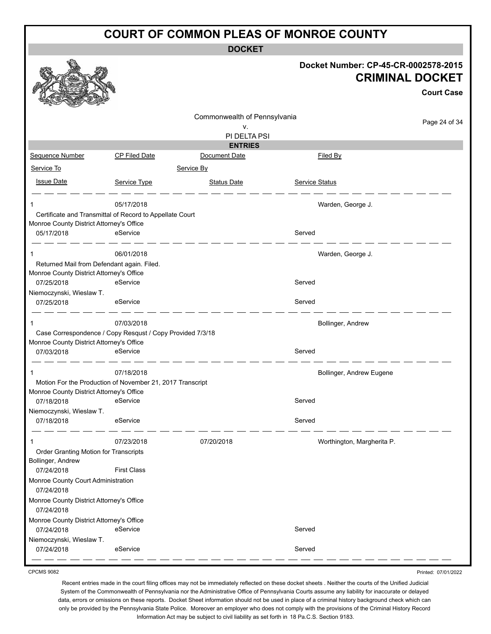**DOCKET**

|                                                        |                                                           | DUUNE I                         |                                      |                                             |
|--------------------------------------------------------|-----------------------------------------------------------|---------------------------------|--------------------------------------|---------------------------------------------|
|                                                        |                                                           |                                 | Docket Number: CP-45-CR-0002578-2015 | <b>CRIMINAL DOCKET</b><br><b>Court Case</b> |
|                                                        |                                                           | Commonwealth of Pennsylvania    |                                      |                                             |
|                                                        |                                                           | ۷.                              |                                      | Page 24 of 34                               |
|                                                        |                                                           | PI DELTA PSI                    |                                      |                                             |
| Sequence Number                                        | <b>CP Filed Date</b>                                      | <b>ENTRIES</b><br>Document Date | Filed By                             |                                             |
| Service To                                             |                                                           | Service By                      |                                      |                                             |
|                                                        |                                                           |                                 |                                      |                                             |
| <b>Issue Date</b>                                      | Service Type                                              | <b>Status Date</b>              | <b>Service Status</b>                |                                             |
| 1                                                      | 05/17/2018                                                |                                 | Warden, George J.                    |                                             |
|                                                        | Certificate and Transmittal of Record to Appellate Court  |                                 |                                      |                                             |
| Monroe County District Attorney's Office               |                                                           |                                 |                                      |                                             |
| 05/17/2018                                             | eService                                                  |                                 | Served                               |                                             |
| 1                                                      | 06/01/2018                                                |                                 | Warden, George J.                    |                                             |
|                                                        | Returned Mail from Defendant again. Filed.                |                                 |                                      |                                             |
| Monroe County District Attorney's Office               |                                                           |                                 |                                      |                                             |
| 07/25/2018<br>Niemoczynski, Wieslaw T.                 | eService                                                  |                                 | Served                               |                                             |
| 07/25/2018                                             | eService                                                  |                                 | Served                               |                                             |
| 1                                                      | 07/03/2018                                                |                                 | Bollinger, Andrew                    |                                             |
|                                                        | Case Correspondence / Copy Resqust / Copy Provided 7/3/18 |                                 |                                      |                                             |
| Monroe County District Attorney's Office               |                                                           |                                 |                                      |                                             |
| 07/03/2018                                             | eService                                                  |                                 | Served                               |                                             |
|                                                        | 07/18/2018                                                |                                 | Bollinger, Andrew Eugene             |                                             |
|                                                        | Motion For the Production of November 21, 2017 Transcript |                                 |                                      |                                             |
| Monroe County District Attorney's Office<br>07/18/2018 | eService                                                  |                                 | Served                               |                                             |
| Niemoczynski, Wieslaw T.                               |                                                           |                                 |                                      |                                             |
| 07/18/2018                                             | eService                                                  |                                 | Served                               |                                             |
| 1                                                      | 07/23/2018                                                | 07/20/2018                      | Worthington, Margherita P.           |                                             |
| Order Granting Motion for Transcripts                  |                                                           |                                 |                                      |                                             |
| Bollinger, Andrew                                      |                                                           |                                 |                                      |                                             |
| 07/24/2018                                             | <b>First Class</b>                                        |                                 |                                      |                                             |
| Monroe County Court Administration<br>07/24/2018       |                                                           |                                 |                                      |                                             |
| Monroe County District Attorney's Office<br>07/24/2018 |                                                           |                                 |                                      |                                             |
| Monroe County District Attorney's Office<br>07/24/2018 | eService                                                  |                                 | Served                               |                                             |
| Niemoczynski, Wieslaw T.                               |                                                           |                                 |                                      |                                             |
| 07/24/2018                                             | eService                                                  |                                 | Served                               |                                             |
|                                                        |                                                           |                                 |                                      |                                             |

CPCMS 9082

Printed: 07/01/2022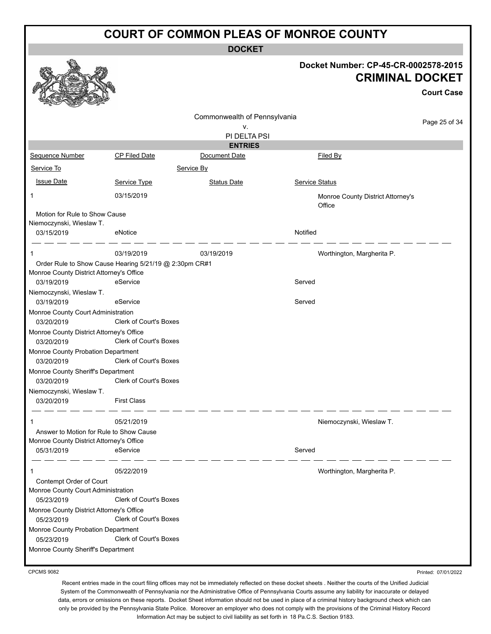**DOCKET**

| Docket Number: CP-45-CR-0002578-2015 |
|--------------------------------------|
| <b>CRIMINAL DOCKET</b>               |

**Court Case**

|                                                        |                                                        |                                    |                                             | <b>Court Case</b> |
|--------------------------------------------------------|--------------------------------------------------------|------------------------------------|---------------------------------------------|-------------------|
|                                                        |                                                        | Commonwealth of Pennsylvania<br>۷. |                                             | Page 25 of 34     |
|                                                        |                                                        | PI DELTA PSI                       |                                             |                   |
|                                                        |                                                        | <b>ENTRIES</b>                     |                                             |                   |
| Sequence Number                                        | <b>CP Filed Date</b>                                   | Document Date                      | Filed By                                    |                   |
| Service To                                             |                                                        | Service By                         |                                             |                   |
| <b>Issue Date</b>                                      | Service Type                                           | <b>Status Date</b>                 | Service Status                              |                   |
| 1                                                      | 03/15/2019                                             |                                    | Monroe County District Attorney's<br>Office |                   |
| Motion for Rule to Show Cause                          |                                                        |                                    |                                             |                   |
| Niemoczynski, Wieslaw T.                               |                                                        |                                    |                                             |                   |
| 03/15/2019                                             | eNotice                                                |                                    | Notified                                    |                   |
| 1                                                      | 03/19/2019                                             | 03/19/2019                         | Worthington, Margherita P.                  |                   |
|                                                        | Order Rule to Show Cause Hearing 5/21/19 @ 2:30pm CR#1 |                                    |                                             |                   |
| Monroe County District Attorney's Office               |                                                        |                                    |                                             |                   |
| 03/19/2019                                             | eService                                               |                                    | Served                                      |                   |
| Niemoczynski, Wieslaw T.                               |                                                        |                                    |                                             |                   |
| 03/19/2019                                             | eService                                               |                                    | Served                                      |                   |
| Monroe County Court Administration                     |                                                        |                                    |                                             |                   |
| 03/20/2019                                             | <b>Clerk of Court's Boxes</b>                          |                                    |                                             |                   |
| Monroe County District Attorney's Office<br>03/20/2019 | Clerk of Court's Boxes                                 |                                    |                                             |                   |
| Monroe County Probation Department                     |                                                        |                                    |                                             |                   |
| 03/20/2019                                             | Clerk of Court's Boxes                                 |                                    |                                             |                   |
| Monroe County Sheriff's Department                     |                                                        |                                    |                                             |                   |
| 03/20/2019                                             | Clerk of Court's Boxes                                 |                                    |                                             |                   |
| Niemoczynski, Wieslaw T.                               |                                                        |                                    |                                             |                   |
| 03/20/2019                                             | <b>First Class</b>                                     |                                    |                                             |                   |
| -1                                                     | 05/21/2019                                             |                                    | Niemoczynski, Wieslaw T.                    |                   |
| Answer to Motion for Rule to Show Cause                |                                                        |                                    |                                             |                   |
| Monroe County District Attorney's Office               |                                                        |                                    |                                             |                   |
| 05/31/2019 eService                                    |                                                        |                                    | Served                                      |                   |
| 1                                                      | 05/22/2019                                             |                                    | Worthington, Margherita P.                  |                   |
| Contempt Order of Court                                |                                                        |                                    |                                             |                   |
| Monroe County Court Administration<br>05/23/2019       | Clerk of Court's Boxes                                 |                                    |                                             |                   |
| Monroe County District Attorney's Office<br>05/23/2019 | <b>Clerk of Court's Boxes</b>                          |                                    |                                             |                   |
| Monroe County Probation Department                     |                                                        |                                    |                                             |                   |
| 05/23/2019                                             | Clerk of Court's Boxes                                 |                                    |                                             |                   |
| Monroe County Sheriff's Department                     |                                                        |                                    |                                             |                   |
|                                                        |                                                        |                                    |                                             |                   |

CPCMS 9082

Printed: 07/01/2022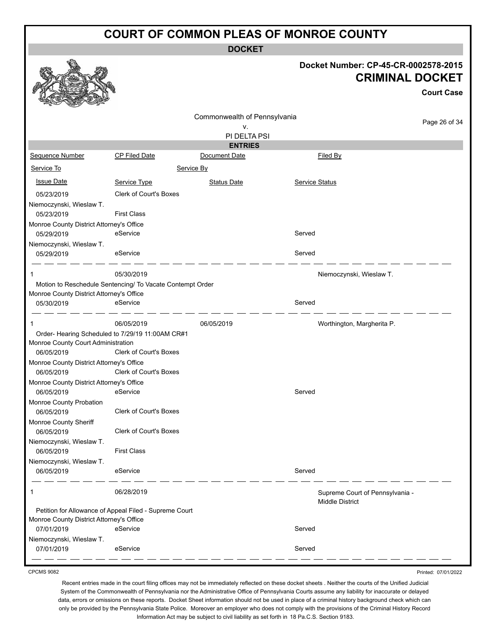**DOCKET**

|                                                        |                                                           |                                |                            | Docket Number: CP-45-CR-0002578-2015<br><b>CRIMINAL DOCKET</b><br><b>Court Case</b> |
|--------------------------------------------------------|-----------------------------------------------------------|--------------------------------|----------------------------|-------------------------------------------------------------------------------------|
|                                                        |                                                           | Commonwealth of Pennsylvania   |                            |                                                                                     |
|                                                        |                                                           | ۷.                             |                            | Page 26 of 34                                                                       |
|                                                        |                                                           | PI DELTA PSI<br><b>ENTRIES</b> |                            |                                                                                     |
| Sequence Number                                        | <b>CP Filed Date</b>                                      | Document Date                  | Filed By                   |                                                                                     |
| Service To                                             | Service By                                                |                                |                            |                                                                                     |
| <b>Issue Date</b>                                      | Service Type                                              | <b>Status Date</b>             | Service Status             |                                                                                     |
| 05/23/2019                                             | <b>Clerk of Court's Boxes</b>                             |                                |                            |                                                                                     |
| Niemoczynski, Wieslaw T.<br>05/23/2019                 | <b>First Class</b>                                        |                                |                            |                                                                                     |
| Monroe County District Attorney's Office               |                                                           |                                |                            |                                                                                     |
| 05/29/2019                                             | eService                                                  |                                | Served                     |                                                                                     |
| Niemoczynski, Wieslaw T.<br>05/29/2019                 | eService                                                  |                                | Served                     |                                                                                     |
|                                                        | 05/30/2019                                                |                                | Niemoczynski, Wieslaw T.   |                                                                                     |
|                                                        | Motion to Reschedule Sentencing/ To Vacate Contempt Order |                                |                            |                                                                                     |
| Monroe County District Attorney's Office               |                                                           |                                |                            |                                                                                     |
| 05/30/2019                                             | eService                                                  |                                | Served                     |                                                                                     |
|                                                        | 06/05/2019                                                | 06/05/2019                     | Worthington, Margherita P. |                                                                                     |
|                                                        | Order- Hearing Scheduled to 7/29/19 11:00AM CR#1          |                                |                            |                                                                                     |
| Monroe County Court Administration                     |                                                           |                                |                            |                                                                                     |
| 06/05/2019                                             | <b>Clerk of Court's Boxes</b>                             |                                |                            |                                                                                     |
| Monroe County District Attorney's Office<br>06/05/2019 | <b>Clerk of Court's Boxes</b>                             |                                |                            |                                                                                     |
| Monroe County District Attorney's Office               |                                                           |                                |                            |                                                                                     |
| 06/05/2019                                             | eService                                                  |                                | Served                     |                                                                                     |
| Monroe County Probation                                |                                                           |                                |                            |                                                                                     |
| 06/05/2019                                             | <b>Clerk of Court's Boxes</b>                             |                                |                            |                                                                                     |
| Monroe County Sheriff                                  |                                                           |                                |                            |                                                                                     |
| 06/05/2019                                             | <b>Clerk of Court's Boxes</b>                             |                                |                            |                                                                                     |
| Niemoczynski, Wieslaw T.<br>06/05/2019                 | <b>First Class</b>                                        |                                |                            |                                                                                     |
| Niemoczynski, Wieslaw T.                               |                                                           |                                |                            |                                                                                     |
| 06/05/2019                                             | eService                                                  |                                | Served                     |                                                                                     |
| 1                                                      | 06/28/2019                                                |                                | <b>Middle District</b>     | Supreme Court of Pennsylvania -                                                     |
|                                                        | Petition for Allowance of Appeal Filed - Supreme Court    |                                |                            |                                                                                     |
| Monroe County District Attorney's Office<br>07/01/2019 | eService                                                  |                                | Served                     |                                                                                     |
| Niemoczynski, Wieslaw T.                               |                                                           |                                |                            |                                                                                     |
| 07/01/2019                                             | eService                                                  |                                | Served                     |                                                                                     |
|                                                        |                                                           |                                |                            |                                                                                     |

CPCMS 9082

Printed: 07/01/2022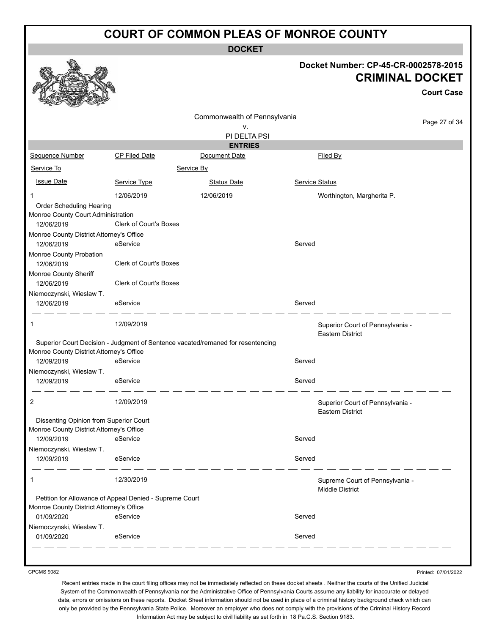**DOCKET**

#### **Docket Number: CP-45-CR-0002578-2015 CRIMINAL DOCKET**

**Court Case**

|                                          |                                                         |                                                                                 |                       |                                                             | ouurt case    |
|------------------------------------------|---------------------------------------------------------|---------------------------------------------------------------------------------|-----------------------|-------------------------------------------------------------|---------------|
|                                          |                                                         | Commonwealth of Pennsylvania<br>v.<br>PI DELTA PSI                              |                       |                                                             | Page 27 of 34 |
|                                          |                                                         | <b>ENTRIES</b>                                                                  |                       |                                                             |               |
| Sequence Number                          | <b>CP Filed Date</b>                                    | Document Date                                                                   |                       | Filed By                                                    |               |
| Service To                               |                                                         | Service By                                                                      |                       |                                                             |               |
| <b>Issue Date</b>                        | Service Type                                            | <b>Status Date</b>                                                              | <b>Service Status</b> |                                                             |               |
|                                          | 12/06/2019                                              | 12/06/2019                                                                      |                       | Worthington, Margherita P.                                  |               |
| Order Scheduling Hearing                 |                                                         |                                                                                 |                       |                                                             |               |
| Monroe County Court Administration       |                                                         |                                                                                 |                       |                                                             |               |
| 12/06/2019                               | <b>Clerk of Court's Boxes</b>                           |                                                                                 |                       |                                                             |               |
| Monroe County District Attorney's Office |                                                         |                                                                                 |                       |                                                             |               |
| 12/06/2019                               | eService                                                |                                                                                 | Served                |                                                             |               |
| Monroe County Probation<br>12/06/2019    | Clerk of Court's Boxes                                  |                                                                                 |                       |                                                             |               |
| Monroe County Sheriff<br>12/06/2019      | <b>Clerk of Court's Boxes</b>                           |                                                                                 |                       |                                                             |               |
| Niemoczynski, Wieslaw T.<br>12/06/2019   | eService                                                |                                                                                 | Served                |                                                             |               |
| 1                                        | 12/09/2019                                              |                                                                                 |                       | Superior Court of Pennsylvania -<br><b>Eastern District</b> |               |
|                                          |                                                         | Superior Court Decision - Judgment of Sentence vacated/remaned for resentencing |                       |                                                             |               |
| Monroe County District Attorney's Office |                                                         |                                                                                 |                       |                                                             |               |
| 12/09/2019                               | eService                                                |                                                                                 | Served                |                                                             |               |
| Niemoczynski, Wieslaw T.<br>12/09/2019   | eService                                                |                                                                                 | Served                |                                                             |               |
|                                          |                                                         |                                                                                 |                       |                                                             |               |
| 2                                        | 12/09/2019                                              |                                                                                 |                       | Superior Court of Pennsylvania -<br>Eastern District        |               |
| Dissenting Opinion from Superior Court   |                                                         |                                                                                 |                       |                                                             |               |
| Monroe County District Attorney's Office |                                                         |                                                                                 |                       |                                                             |               |
| 12/09/2019                               | eService                                                |                                                                                 | Served                |                                                             |               |
| Niemoczynski, Wieslaw T.                 |                                                         |                                                                                 |                       |                                                             |               |
| 12/09/2019                               | eService                                                |                                                                                 | Served                |                                                             |               |
| 1                                        | 12/30/2019                                              |                                                                                 |                       | Supreme Court of Pennsylvania -<br><b>Middle District</b>   |               |
|                                          | Petition for Allowance of Appeal Denied - Supreme Court |                                                                                 |                       |                                                             |               |
| Monroe County District Attorney's Office |                                                         |                                                                                 |                       |                                                             |               |
| 01/09/2020                               | eService                                                |                                                                                 | Served                |                                                             |               |
| Niemoczynski, Wieslaw T.                 |                                                         |                                                                                 |                       |                                                             |               |
| 01/09/2020                               | eService                                                |                                                                                 | Served                |                                                             |               |
|                                          |                                                         |                                                                                 |                       |                                                             |               |

CPCMS 9082

Printed: 07/01/2022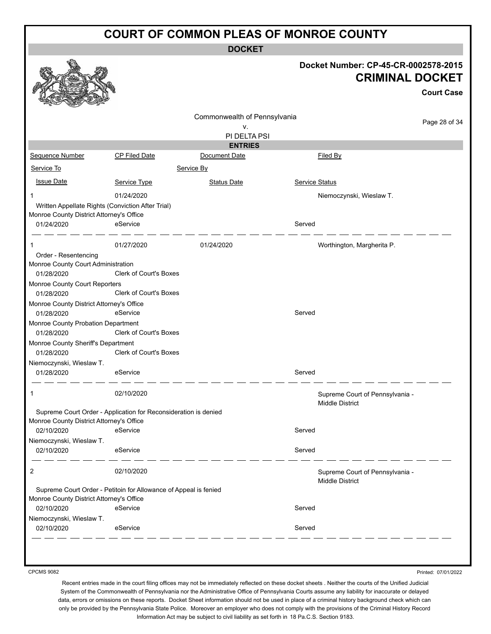**DOCKET**

|                                                                                               |                                                                  |                              | Docket Number: CP-45-CR-0002578-2015                      |                                             |
|-----------------------------------------------------------------------------------------------|------------------------------------------------------------------|------------------------------|-----------------------------------------------------------|---------------------------------------------|
|                                                                                               |                                                                  |                              |                                                           | <b>CRIMINAL DOCKET</b><br><b>Court Case</b> |
|                                                                                               |                                                                  |                              |                                                           |                                             |
|                                                                                               |                                                                  | Commonwealth of Pennsylvania |                                                           | Page 28 of 34                               |
|                                                                                               |                                                                  | ν.<br>PI DELTA PSI           |                                                           |                                             |
|                                                                                               |                                                                  | <b>ENTRIES</b>               |                                                           |                                             |
| Sequence Number                                                                               | CP Filed Date                                                    | Document Date                | Filed By                                                  |                                             |
|                                                                                               |                                                                  |                              |                                                           |                                             |
| Service To                                                                                    |                                                                  | Service By                   |                                                           |                                             |
| <b>Issue Date</b>                                                                             | Service Type                                                     | <b>Status Date</b>           | <b>Service Status</b>                                     |                                             |
| 1                                                                                             | 01/24/2020                                                       |                              | Niemoczynski, Wieslaw T.                                  |                                             |
| Written Appellate Rights (Conviction After Trial)<br>Monroe County District Attorney's Office |                                                                  |                              |                                                           |                                             |
| 01/24/2020                                                                                    | eService                                                         |                              | Served                                                    |                                             |
| 1                                                                                             | 01/27/2020                                                       | 01/24/2020                   | Worthington, Margherita P.                                |                                             |
| Order - Resentencing                                                                          |                                                                  |                              |                                                           |                                             |
| Monroe County Court Administration<br>01/28/2020                                              | <b>Clerk of Court's Boxes</b>                                    |                              |                                                           |                                             |
| Monroe County Court Reporters                                                                 |                                                                  |                              |                                                           |                                             |
| 01/28/2020                                                                                    | Clerk of Court's Boxes                                           |                              |                                                           |                                             |
| Monroe County District Attorney's Office                                                      |                                                                  |                              |                                                           |                                             |
| 01/28/2020                                                                                    | eService                                                         |                              | Served                                                    |                                             |
| Monroe County Probation Department                                                            |                                                                  |                              |                                                           |                                             |
| 01/28/2020                                                                                    | Clerk of Court's Boxes                                           |                              |                                                           |                                             |
| Monroe County Sheriff's Department                                                            |                                                                  |                              |                                                           |                                             |
| 01/28/2020                                                                                    | Clerk of Court's Boxes                                           |                              |                                                           |                                             |
| Niemoczynski, Wieslaw T.                                                                      |                                                                  |                              |                                                           |                                             |
| 01/28/2020                                                                                    | eService                                                         |                              | Served                                                    |                                             |
| 1                                                                                             | 02/10/2020                                                       |                              | Supreme Court of Pennsylvania -<br>Middle District        |                                             |
|                                                                                               | Supreme Court Order - Application for Reconsideration is denied  |                              |                                                           |                                             |
| Monroe County District Attorney's Office                                                      |                                                                  |                              |                                                           |                                             |
| 02/10/2020                                                                                    | eService                                                         |                              | Served                                                    |                                             |
| Niemoczynski, Wieslaw T.<br>02/10/2020                                                        | eService                                                         |                              | Served                                                    |                                             |
|                                                                                               | 02/10/2020                                                       |                              |                                                           |                                             |
| 2                                                                                             |                                                                  |                              | Supreme Court of Pennsylvania -<br><b>Middle District</b> |                                             |
|                                                                                               | Supreme Court Order - Petitoin for Allowance of Appeal is fenied |                              |                                                           |                                             |
| Monroe County District Attorney's Office                                                      |                                                                  |                              |                                                           |                                             |
| 02/10/2020                                                                                    | eService                                                         |                              | Served                                                    |                                             |
| Niemoczynski, Wieslaw T.                                                                      |                                                                  |                              |                                                           |                                             |
| 02/10/2020                                                                                    | eService                                                         |                              | Served                                                    |                                             |

CPCMS 9082

Printed: 07/01/2022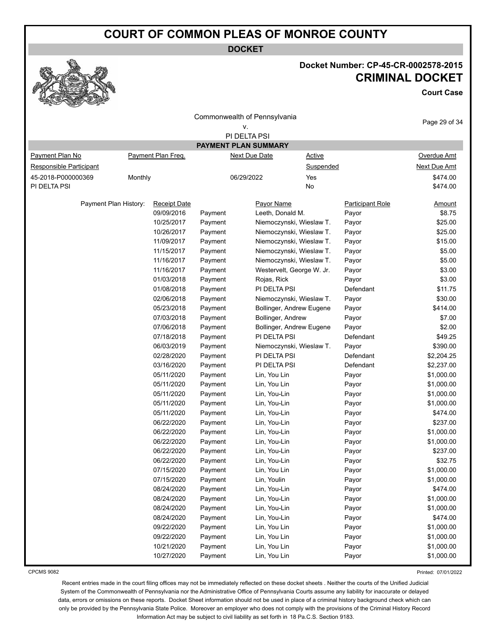**DOCKET**



# **Docket Number: CP-45-CR-0002578-2015 CRIMINAL DOCKET**

**Court Case**

| Commonwealth of Pennsylvania |         |                     |         |                           | Page 29 of 34           |                     |
|------------------------------|---------|---------------------|---------|---------------------------|-------------------------|---------------------|
|                              |         |                     |         | ۷.<br>PI DELTA PSI        |                         |                     |
|                              |         |                     |         | PAYMENT PLAN SUMMARY      |                         |                     |
| Payment Plan No              |         | Payment Plan Freq.  |         | <b>Next Due Date</b>      | <b>Active</b>           | Overdue Amt         |
| Responsible Participant      |         |                     |         |                           | Suspended               | <b>Next Due Amt</b> |
| 45-2018-P000000369           |         |                     |         | 06/29/2022                | Yes                     | \$474.00            |
| PI DELTA PSI                 | Monthly |                     |         | No                        |                         | \$474.00            |
|                              |         |                     |         |                           |                         |                     |
| Payment Plan History:        |         | <b>Receipt Date</b> |         | Payor Name                | <b>Participant Role</b> | <u>Amount</u>       |
|                              |         | 09/09/2016          | Payment | Leeth, Donald M.          | Payor                   | \$8.75              |
|                              |         | 10/25/2017          | Payment | Niemoczynski, Wieslaw T.  | Payor                   | \$25.00             |
|                              |         | 10/26/2017          | Payment | Niemoczynski, Wieslaw T.  | Payor                   | \$25.00             |
|                              |         | 11/09/2017          | Payment | Niemoczynski, Wieslaw T.  | Payor                   | \$15.00             |
|                              |         | 11/15/2017          | Payment | Niemoczynski, Wieslaw T.  | Payor                   | \$5.00              |
|                              |         | 11/16/2017          | Payment | Niemoczynski, Wieslaw T.  | Payor                   | \$5.00              |
|                              |         | 11/16/2017          | Payment | Westervelt, George W. Jr. | Payor                   | \$3.00              |
|                              |         | 01/03/2018          | Payment | Rojas, Rick               | Payor                   | \$3.00              |
|                              |         | 01/08/2018          | Payment | PI DELTA PSI              | Defendant               | \$11.75             |
|                              |         | 02/06/2018          | Payment | Niemoczynski, Wieslaw T.  | Payor                   | \$30.00             |
|                              |         | 05/23/2018          | Payment | Bollinger, Andrew Eugene  | Payor                   | \$414.00            |
|                              |         | 07/03/2018          | Payment | Bollinger, Andrew         | Payor                   | \$7.00              |
|                              |         | 07/06/2018          | Payment | Bollinger, Andrew Eugene  | Payor                   | \$2.00              |
|                              |         | 07/18/2018          | Payment | PI DELTA PSI              | Defendant               | \$49.25             |
|                              |         | 06/03/2019          | Payment | Niemoczynski, Wieslaw T.  | Payor                   | \$390.00            |
|                              |         | 02/28/2020          | Payment | PI DELTA PSI              | Defendant               | \$2,204.25          |
|                              |         | 03/16/2020          | Payment | PI DELTA PSI              | Defendant               | \$2,237.00          |
|                              |         | 05/11/2020          | Payment | Lin, You Lin              | Payor                   | \$1,000.00          |
|                              |         | 05/11/2020          | Payment | Lin, You Lin              | Payor                   | \$1,000.00          |
|                              |         | 05/11/2020          | Payment | Lin, You-Lin              | Payor                   | \$1,000.00          |
|                              |         | 05/11/2020          | Payment | Lin, You-Lin              | Payor                   | \$1,000.00          |
|                              |         | 05/11/2020          | Payment | Lin, You-Lin              | Payor                   | \$474.00            |
|                              |         | 06/22/2020          | Payment | Lin, You-Lin              | Payor                   | \$237.00            |
|                              |         | 06/22/2020          | Payment | Lin, You-Lin              | Payor                   | \$1,000.00          |
|                              |         | 06/22/2020          | Payment | Lin, You-Lin              | Payor                   | \$1,000.00          |
|                              |         | 06/22/2020          | Payment | Lin, You-Lin              | Payor                   | \$237.00            |
|                              |         | 06/22/2020          | Payment | Lin, You-Lin              | Payor                   | \$32.75             |
|                              |         | 07/15/2020          | Payment | Lin, You Lin              | Payor                   | \$1,000.00          |
|                              |         | 07/15/2020          | Payment | Lin, Youlin               | Payor                   | \$1,000.00          |
|                              |         | 08/24/2020          | Payment | Lin, You-Lin              | Payor                   | \$474.00            |
|                              |         | 08/24/2020          | Payment | Lin, You-Lin              | Payor                   | \$1,000.00          |
|                              |         | 08/24/2020          | Payment | Lin, You-Lin              | Payor                   | \$1,000.00          |
|                              |         | 08/24/2020          | Payment | Lin, You-Lin              | Payor                   | \$474.00            |
|                              |         | 09/22/2020          | Payment | Lin, You Lin              | Payor                   | \$1,000.00          |
|                              |         | 09/22/2020          | Payment | Lin, You Lin              | Payor                   | \$1,000.00          |
|                              |         | 10/21/2020          | Payment | Lin, You Lin              | Payor                   | \$1,000.00          |
|                              |         | 10/27/2020          | Payment | Lin, You Lin              | Payor                   | \$1,000.00          |

CPCMS 9082

Printed: 07/01/2022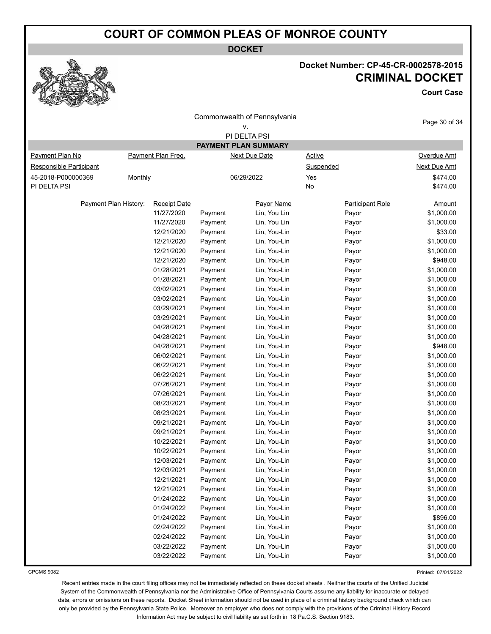**DOCKET**



# **Docket Number: CP-45-CR-0002578-2015 CRIMINAL DOCKET**

**Court Case**

|                         |                       |                     |         | Commonwealth of Pennsylvania<br>۷. |                         | Page 30 of 34       |
|-------------------------|-----------------------|---------------------|---------|------------------------------------|-------------------------|---------------------|
|                         |                       |                     |         | PI DELTA PSI                       |                         |                     |
|                         |                       |                     |         | PAYMENT PLAN SUMMARY               |                         |                     |
| Payment Plan No         |                       | Payment Plan Freq.  |         | <b>Next Due Date</b>               | <b>Active</b>           | Overdue Amt         |
| Responsible Participant |                       |                     |         |                                    | Suspended               | <b>Next Due Amt</b> |
| 45-2018-P000000369      | Monthly               |                     |         | 06/29/2022                         | Yes                     | \$474.00            |
| PI DELTA PSI            |                       |                     |         |                                    | No                      | \$474.00            |
|                         |                       |                     |         |                                    |                         |                     |
|                         | Payment Plan History: | <b>Receipt Date</b> |         | Payor Name                         | <b>Participant Role</b> | <b>Amount</b>       |
|                         |                       | 11/27/2020          | Payment | Lin, You Lin                       | Payor                   | \$1,000.00          |
|                         |                       | 11/27/2020          | Payment | Lin, You Lin                       | Payor                   | \$1,000.00          |
|                         |                       | 12/21/2020          | Payment | Lin, You-Lin                       | Payor                   | \$33.00             |
|                         |                       | 12/21/2020          | Payment | Lin, You-Lin                       | Payor                   | \$1,000.00          |
|                         |                       | 12/21/2020          | Payment | Lin, You-Lin                       | Payor                   | \$1,000.00          |
|                         |                       | 12/21/2020          | Payment | Lin, You-Lin                       | Payor                   | \$948.00            |
|                         |                       | 01/28/2021          | Payment | Lin, You-Lin                       | Payor                   | \$1,000.00          |
|                         |                       | 01/28/2021          | Payment | Lin, You-Lin                       | Payor                   | \$1,000.00          |
|                         |                       | 03/02/2021          | Payment | Lin, You-Lin                       | Payor                   | \$1,000.00          |
|                         |                       | 03/02/2021          | Payment | Lin, You-Lin                       | Payor                   | \$1,000.00          |
|                         |                       | 03/29/2021          | Payment | Lin, You-Lin                       | Payor                   | \$1,000.00          |
|                         |                       | 03/29/2021          | Payment | Lin, You-Lin                       | Payor                   | \$1,000.00          |
|                         |                       | 04/28/2021          | Payment | Lin, You-Lin                       | Payor                   | \$1,000.00          |
|                         |                       | 04/28/2021          | Payment | Lin, You-Lin                       | Payor                   | \$1,000.00          |
|                         |                       | 04/28/2021          | Payment | Lin, You-Lin                       | Payor                   | \$948.00            |
|                         |                       | 06/02/2021          | Payment | Lin, You-Lin                       | Payor                   | \$1,000.00          |
|                         |                       | 06/22/2021          | Payment | Lin, You-Lin                       | Payor                   | \$1,000.00          |
|                         |                       | 06/22/2021          | Payment | Lin, You-Lin                       | Payor                   | \$1,000.00          |
|                         |                       | 07/26/2021          | Payment | Lin, You-Lin                       | Payor                   | \$1,000.00          |
|                         |                       | 07/26/2021          | Payment | Lin, You-Lin                       | Payor                   | \$1,000.00          |
|                         |                       | 08/23/2021          | Payment | Lin, You-Lin                       | Payor                   | \$1,000.00          |
|                         |                       | 08/23/2021          | Payment | Lin, You-Lin                       | Payor                   | \$1,000.00          |
|                         |                       | 09/21/2021          | Payment | Lin, You-Lin                       | Payor                   | \$1,000.00          |
|                         |                       | 09/21/2021          |         |                                    |                         |                     |
|                         |                       |                     | Payment | Lin, You-Lin                       | Payor                   | \$1,000.00          |
|                         |                       | 10/22/2021          | Payment | Lin, You-Lin                       | Payor                   | \$1,000.00          |
|                         |                       | 10/22/2021          | Payment | Lin, You-Lin                       | Payor                   | \$1,000.00          |
|                         |                       | 12/03/2021          | Payment | Lin, You-Lin                       | Payor                   | \$1,000.00          |
|                         |                       | 12/03/2021          | Payment | Lin, You-Lin                       | Payor                   | \$1,000.00          |
|                         |                       | 12/21/2021          | Payment | Lin, You-Lin                       | Payor                   | \$1,000.00          |
|                         |                       | 12/21/2021          | Payment | Lin, You-Lin                       | Payor                   | \$1,000.00          |
|                         |                       | 01/24/2022          | Payment | Lin, You-Lin                       | Payor                   | \$1,000.00          |
|                         |                       | 01/24/2022          | Payment | Lin, You-Lin                       | Payor                   | \$1,000.00          |
|                         |                       | 01/24/2022          | Payment | Lin, You-Lin                       | Payor                   | \$896.00            |
|                         |                       | 02/24/2022          | Payment | Lin, You-Lin                       | Payor                   | \$1,000.00          |
|                         |                       | 02/24/2022          | Payment | Lin, You-Lin                       | Payor                   | \$1,000.00          |
|                         |                       | 03/22/2022          | Payment | Lin, You-Lin                       | Payor                   | \$1,000.00          |
|                         |                       | 03/22/2022          | Payment | Lin, You-Lin                       | Payor                   | \$1,000.00          |

CPCMS 9082

Printed: 07/01/2022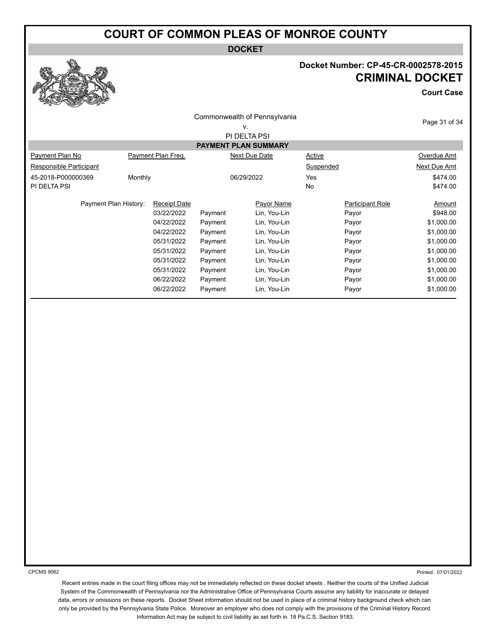**DOCKET**

# **Docket Number: CP-45-CR-0002578-2015 CRIMINAL DOCKET**

**Court Case**

|                         |         |                     |         | Commonwealth of Pennsylvania |               |                         | Page 31 of 34 |
|-------------------------|---------|---------------------|---------|------------------------------|---------------|-------------------------|---------------|
|                         |         |                     |         | v.                           |               |                         |               |
|                         |         |                     |         | PI DELTA PSI                 |               |                         |               |
|                         |         |                     |         | <b>PAYMENT PLAN SUMMARY</b>  |               |                         |               |
| Payment Plan No         |         | Payment Plan Freq.  |         | Next Due Date                | <b>Active</b> |                         | Overdue Amt   |
| Responsible Participant |         |                     |         |                              | Suspended     |                         | Next Due Amt  |
| 45-2018-P000000369      | Monthly |                     |         | 06/29/2022                   | Yes           |                         | \$474.00      |
| PI DELTA PSI            |         |                     |         |                              | No            |                         | \$474.00      |
| Payment Plan History:   |         | <b>Receipt Date</b> |         | Payor Name                   |               | <b>Participant Role</b> | Amount        |
|                         |         | 03/22/2022          | Payment | Lin, You-Lin                 |               | Payor                   | \$948.00      |
|                         |         | 04/22/2022          | Payment | Lin, You-Lin                 |               | Payor                   | \$1,000.00    |
|                         |         | 04/22/2022          | Payment | Lin, You-Lin                 |               | Payor                   | \$1,000.00    |
|                         |         | 05/31/2022          | Payment | Lin, You-Lin                 |               | Payor                   | \$1,000.00    |
|                         |         | 05/31/2022          | Payment | Lin, You-Lin                 |               | Payor                   | \$1,000.00    |
|                         |         | 05/31/2022          | Payment | Lin, You-Lin                 |               | Payor                   | \$1,000.00    |
|                         |         | 05/31/2022          | Payment | Lin, You-Lin                 |               | Payor                   | \$1,000.00    |
|                         |         | 06/22/2022          | Payment | Lin, You-Lin                 |               | Payor                   | \$1,000.00    |
|                         |         | 06/22/2022          | Payment | Lin, You-Lin                 |               | Payor                   | \$1,000.00    |
|                         |         |                     |         |                              |               |                         |               |

CPCMS 9082

Printed: 07/01/2022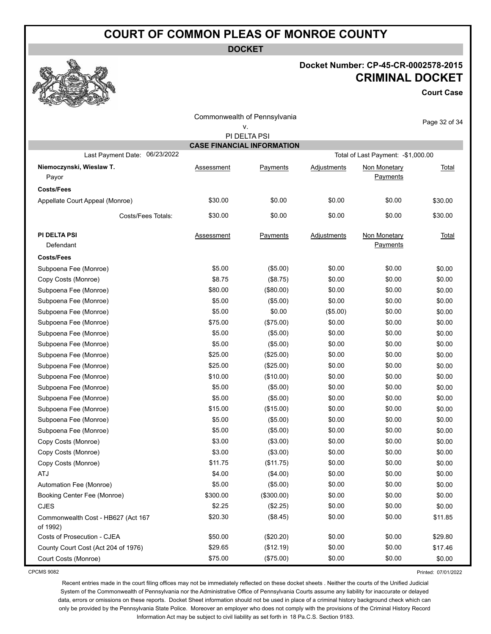**DOCKET**

### **Docket Number: CP-45-CR-0002578-2015 CRIMINAL DOCKET**

**Court Case**

|                                                |            | Commonwealth of Pennsylvania      |             |                                     |               |
|------------------------------------------------|------------|-----------------------------------|-------------|-------------------------------------|---------------|
|                                                |            | v.                                |             |                                     | Page 32 of 34 |
|                                                |            | PI DELTA PSI                      |             |                                     |               |
|                                                |            | <b>CASE FINANCIAL INFORMATION</b> |             |                                     |               |
| 06/23/2022<br>Last Payment Date:               |            |                                   |             | Total of Last Payment: - \$1,000.00 |               |
| Niemoczynski, Wieslaw T.<br>Payor              | Assessment | Payments                          | Adjustments | Non Monetary<br>Payments            | <b>Total</b>  |
| <b>Costs/Fees</b>                              |            |                                   |             |                                     |               |
| Appellate Court Appeal (Monroe)                | \$30.00    | \$0.00                            | \$0.00      | \$0.00                              | \$30.00       |
| Costs/Fees Totals:                             | \$30.00    | \$0.00                            | \$0.00      | \$0.00                              | \$30.00       |
| PI DELTA PSI<br>Defendant                      | Assessment | Payments                          | Adjustments | Non Monetary<br>Payments            | Total         |
| <b>Costs/Fees</b>                              |            |                                   |             |                                     |               |
| Subpoena Fee (Monroe)                          | \$5.00     | (\$5.00)                          | \$0.00      | \$0.00                              | \$0.00        |
| Copy Costs (Monroe)                            | \$8.75     | (\$8.75)                          | \$0.00      | \$0.00                              | \$0.00        |
| Subpoena Fee (Monroe)                          | \$80.00    | (\$80.00)                         | \$0.00      | \$0.00                              | \$0.00        |
| Subpoena Fee (Monroe)                          | \$5.00     | (\$5.00)                          | \$0.00      | \$0.00                              | \$0.00        |
| Subpoena Fee (Monroe)                          | \$5.00     | \$0.00                            | (\$5.00)    | \$0.00                              | \$0.00        |
| Subpoena Fee (Monroe)                          | \$75.00    | (\$75.00)                         | \$0.00      | \$0.00                              | \$0.00        |
| Subpoena Fee (Monroe)                          | \$5.00     | (\$5.00)                          | \$0.00      | \$0.00                              | \$0.00        |
| Subpoena Fee (Monroe)                          | \$5.00     | (\$5.00)                          | \$0.00      | \$0.00                              | \$0.00        |
| Subpoena Fee (Monroe)                          | \$25.00    | (\$25.00)                         | \$0.00      | \$0.00                              | \$0.00        |
| Subpoena Fee (Monroe)                          | \$25.00    | (\$25.00)                         | \$0.00      | \$0.00                              | \$0.00        |
| Subpoena Fee (Monroe)                          | \$10.00    | (\$10.00)                         | \$0.00      | \$0.00                              | \$0.00        |
| Subpoena Fee (Monroe)                          | \$5.00     | (\$5.00)                          | \$0.00      | \$0.00                              | \$0.00        |
| Subpoena Fee (Monroe)                          | \$5.00     | (\$5.00)                          | \$0.00      | \$0.00                              | \$0.00        |
| Subpoena Fee (Monroe)                          | \$15.00    | (\$15.00)                         | \$0.00      | \$0.00                              | \$0.00        |
| Subpoena Fee (Monroe)                          | \$5.00     | (\$5.00)                          | \$0.00      | \$0.00                              | \$0.00        |
| Subpoena Fee (Monroe)                          | \$5.00     | (\$5.00)                          | \$0.00      | \$0.00                              | \$0.00        |
| Copy Costs (Monroe)                            | \$3.00     | (\$3.00)                          | \$0.00      | \$0.00                              | \$0.00        |
| Copy Costs (Monroe)                            | \$3.00     | (\$3.00)                          | \$0.00      | \$0.00                              | \$0.00        |
| Copy Costs (Monroe)                            | \$11.75    | (\$11.75)                         | \$0.00      | \$0.00                              | \$0.00        |
| AIJ                                            | \$4.00     | (\$4.00)                          | \$0.00      | \$0.00                              | \$0.00        |
| Automation Fee (Monroe)                        | \$5.00     | (\$5.00)                          | \$0.00      | \$0.00                              | \$0.00        |
| Booking Center Fee (Monroe)                    | \$300.00   | (\$300.00)                        | \$0.00      | \$0.00                              | \$0.00        |
| <b>CJES</b>                                    | \$2.25     | (\$2.25)                          | \$0.00      | \$0.00                              | \$0.00        |
| Commonwealth Cost - HB627 (Act 167<br>of 1992) | \$20.30    | (\$8.45)                          | \$0.00      | \$0.00                              | \$11.85       |
| Costs of Prosecution - CJEA                    | \$50.00    | (\$20.20)                         | \$0.00      | \$0.00                              | \$29.80       |
| County Court Cost (Act 204 of 1976)            | \$29.65    | (\$12.19)                         | \$0.00      | \$0.00                              | \$17.46       |
| Court Costs (Monroe)                           | \$75.00    | (\$75.00)                         | \$0.00      | \$0.00                              | \$0.00        |

CPCMS 9082

Printed: 07/01/2022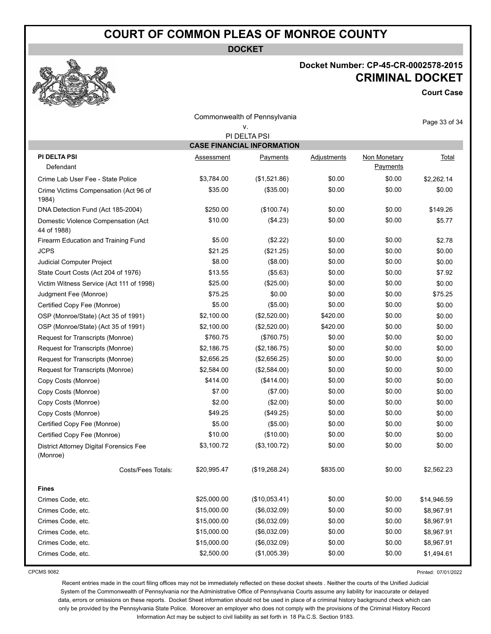**DOCKET**



## **Docket Number: CP-45-CR-0002578-2015 CRIMINAL DOCKET**

**Court Case**

|                                                     |             | Commonwealth of Pennsylvania      |                    |                          | Page 33 of 34 |
|-----------------------------------------------------|-------------|-----------------------------------|--------------------|--------------------------|---------------|
|                                                     |             | ۷.<br>PI DELTA PSI                |                    |                          |               |
|                                                     |             | <b>CASE FINANCIAL INFORMATION</b> |                    |                          |               |
| <b>PI DELTA PSI</b><br>Defendant                    | Assessment  | Payments                          | <b>Adjustments</b> | Non Monetary<br>Payments | Total         |
| Crime Lab User Fee - State Police                   | \$3,784.00  | (\$1,521.86)                      | \$0.00             | \$0.00                   | \$2,262.14    |
| Crime Victims Compensation (Act 96 of<br>1984)      | \$35.00     | (\$35.00)                         | \$0.00             | \$0.00                   | \$0.00        |
| DNA Detection Fund (Act 185-2004)                   | \$250.00    | (\$100.74)                        | \$0.00             | \$0.00                   | \$149.26      |
| Domestic Violence Compensation (Act<br>44 of 1988)  | \$10.00     | (\$4.23)                          | \$0.00             | \$0.00                   | \$5.77        |
| Firearm Education and Training Fund                 | \$5.00      | (\$2.22)                          | \$0.00             | \$0.00                   | \$2.78        |
| <b>JCPS</b>                                         | \$21.25     | (\$21.25)                         | \$0.00             | \$0.00                   | \$0.00        |
| Judicial Computer Project                           | \$8.00      | (\$8.00)                          | \$0.00             | \$0.00                   | \$0.00        |
| State Court Costs (Act 204 of 1976)                 | \$13.55     | (\$5.63)                          | \$0.00             | \$0.00                   | \$7.92        |
| Victim Witness Service (Act 111 of 1998)            | \$25.00     | (\$25.00)                         | \$0.00             | \$0.00                   | \$0.00        |
| Judgment Fee (Monroe)                               | \$75.25     | \$0.00                            | \$0.00             | \$0.00                   | \$75.25       |
| Certified Copy Fee (Monroe)                         | \$5.00      | (\$5.00)                          | \$0.00             | \$0.00                   | \$0.00        |
| OSP (Monroe/State) (Act 35 of 1991)                 | \$2,100.00  | (\$2,520.00)                      | \$420.00           | \$0.00                   | \$0.00        |
| OSP (Monroe/State) (Act 35 of 1991)                 | \$2,100.00  | (\$2,520.00)                      | \$420.00           | \$0.00                   | \$0.00        |
| Request for Transcripts (Monroe)                    | \$760.75    | (\$760.75)                        | \$0.00             | \$0.00                   | \$0.00        |
| Request for Transcripts (Monroe)                    | \$2,186.75  | (\$2,186.75)                      | \$0.00             | \$0.00                   | \$0.00        |
| Request for Transcripts (Monroe)                    | \$2,656.25  | (\$2,656.25)                      | \$0.00             | \$0.00                   | \$0.00        |
| Request for Transcripts (Monroe)                    | \$2,584.00  | (\$2,584.00)                      | \$0.00             | \$0.00                   | \$0.00        |
| Copy Costs (Monroe)                                 | \$414.00    | (\$414.00)                        | \$0.00             | \$0.00                   | \$0.00        |
| Copy Costs (Monroe)                                 | \$7.00      | (\$7.00)                          | \$0.00             | \$0.00                   | \$0.00        |
| Copy Costs (Monroe)                                 | \$2.00      | $(\$2.00)$                        | \$0.00             | \$0.00                   | \$0.00        |
| Copy Costs (Monroe)                                 | \$49.25     | (\$49.25)                         | \$0.00             | \$0.00                   | \$0.00        |
| Certified Copy Fee (Monroe)                         | \$5.00      | (\$5.00)                          | \$0.00             | \$0.00                   | \$0.00        |
| Certified Copy Fee (Monroe)                         | \$10.00     | (\$10.00)                         | \$0.00             | \$0.00                   | \$0.00        |
| District Attorney Digital Forensics Fee<br>(Monroe) | \$3,100.72  | (\$3,100.72)                      | \$0.00             | \$0.00                   | \$0.00        |
| Costs/Fees Totals:                                  | \$20,995.47 | (\$19,268.24)                     | \$835.00           | \$0.00                   | \$2,562.23    |
| <b>Fines</b>                                        |             |                                   |                    |                          |               |
| Crimes Code, etc.                                   | \$25,000.00 | (\$10,053.41)                     | \$0.00             | \$0.00                   | \$14,946.59   |
| Crimes Code, etc.                                   | \$15,000.00 | (\$6,032.09)                      | \$0.00             | \$0.00                   | \$8,967.91    |
| Crimes Code, etc.                                   | \$15,000.00 | (\$6,032.09)                      | \$0.00             | \$0.00                   | \$8,967.91    |
| Crimes Code, etc.                                   | \$15,000.00 | (\$6,032.09)                      | \$0.00             | \$0.00                   | \$8,967.91    |
| Crimes Code, etc.                                   | \$15,000.00 | (\$6,032.09)                      | \$0.00             | \$0.00                   | \$8,967.91    |
| Crimes Code, etc.                                   | \$2,500.00  | (\$1,005.39)                      | \$0.00             | \$0.00                   | \$1,494.61    |

CPCMS 9082

Printed: 07/01/2022